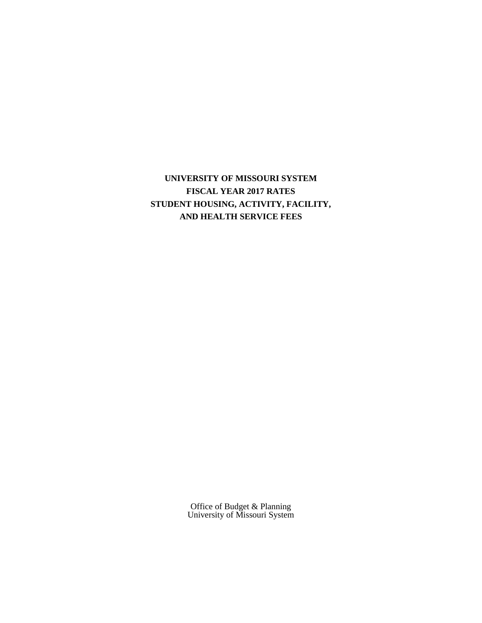**UNIVERSITY OF MISSOURI SYSTEM FISCAL YEAR 2017 RATES STUDENT HOUSING, ACTIVITY, FACILITY, AND HEALTH SERVICE FEES**

> Office of Budget & Planning University of Missouri System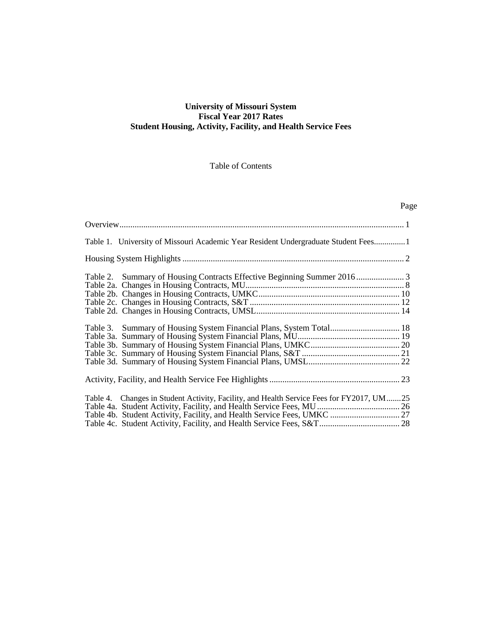## **University of Missouri System Fiscal Year 2017 Rates Student Housing, Activity, Facility, and Health Service Fees**

## Table of Contents

# Page

| Table 1. University of Missouri Academic Year Resident Undergraduate Student Fees1       |  |
|------------------------------------------------------------------------------------------|--|
|                                                                                          |  |
|                                                                                          |  |
|                                                                                          |  |
|                                                                                          |  |
| Table 3. Summary of Housing System Financial Plans, System Total 18                      |  |
|                                                                                          |  |
|                                                                                          |  |
|                                                                                          |  |
|                                                                                          |  |
| Table 4. Changes in Student Activity, Facility, and Health Service Fees for FY2017, UM25 |  |
|                                                                                          |  |
|                                                                                          |  |
|                                                                                          |  |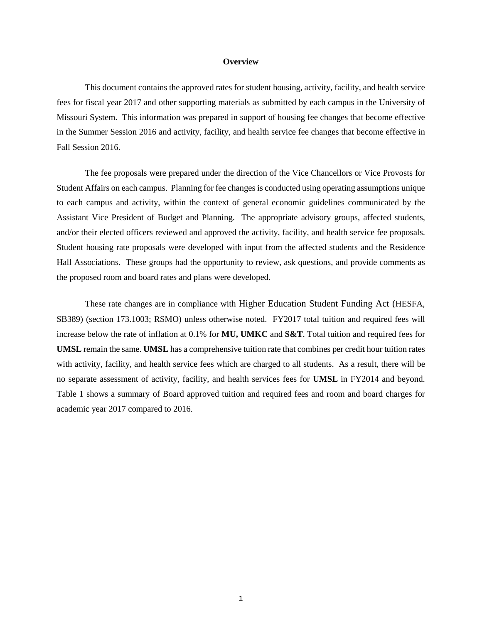#### **Overview**

This document contains the approved rates for student housing, activity, facility, and health service fees for fiscal year 2017 and other supporting materials as submitted by each campus in the University of Missouri System. This information was prepared in support of housing fee changes that become effective in the Summer Session 2016 and activity, facility, and health service fee changes that become effective in Fall Session 2016.

The fee proposals were prepared under the direction of the Vice Chancellors or Vice Provosts for Student Affairs on each campus. Planning for fee changes is conducted using operating assumptions unique to each campus and activity, within the context of general economic guidelines communicated by the Assistant Vice President of Budget and Planning. The appropriate advisory groups, affected students, and/or their elected officers reviewed and approved the activity, facility, and health service fee proposals. Student housing rate proposals were developed with input from the affected students and the Residence Hall Associations. These groups had the opportunity to review, ask questions, and provide comments as the proposed room and board rates and plans were developed.

These rate changes are in compliance with Higher Education Student Funding Act (HESFA, SB389) (section 173.1003; RSMO) unless otherwise noted. FY2017 total tuition and required fees will increase below the rate of inflation at 0.1% for **MU, UMKC** and **S&T**. Total tuition and required fees for **UMSL** remain the same. **UMSL** has a comprehensive tuition rate that combines per credit hour tuition rates with activity, facility, and health service fees which are charged to all students. As a result, there will be no separate assessment of activity, facility, and health services fees for **UMSL** in FY2014 and beyond. Table 1 shows a summary of Board approved tuition and required fees and room and board charges for academic year 2017 compared to 2016.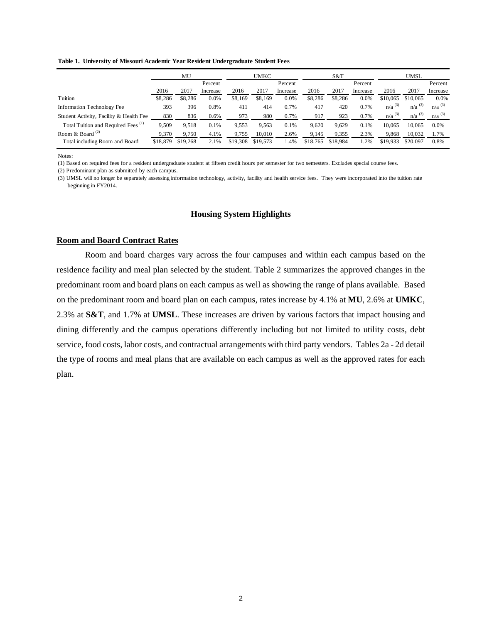**Table 1. University of Missouri Academic Year Resident Undergraduate Student Fees**

|                                                | MU       |          |          | UMKC     |          | S&T      |          | UMSL     |          |                      |                      |                      |
|------------------------------------------------|----------|----------|----------|----------|----------|----------|----------|----------|----------|----------------------|----------------------|----------------------|
|                                                |          |          | Percent  |          |          | Percent  |          |          | Percent  |                      |                      | Percent              |
|                                                | 2016     | 2017     | Increase | 2016     | 2017     | Increase | 2016     | 2017     | Increase | 2016                 | 2017                 | Increase             |
| Tuition                                        | \$8,286  | \$8,286  | 0.0%     | \$8,169  | \$8,169  | 0.0%     | \$8,286  | \$8,286  | 0.0%     | \$10,065             | \$10,065             | 0.0%                 |
| Information Technology Fee                     | 393      | 396      | 0.8%     | 411      | 414      | 0.7%     | 417      | 420      | 0.7%     | $n/a$ <sup>(3)</sup> | $n/a$ <sup>(3)</sup> | $n/a^{(3)}$          |
| Student Activity, Facility & Health Fee        | 830      | 836      | 0.6%     | 973      | 980      | 0.7%     | 917      | 923      | 0.7%     | $n/a$ <sup>(3)</sup> | $n/a$ <sup>(3)</sup> | $n/a$ <sup>(3)</sup> |
| Total Tuition and Required Fees <sup>(1)</sup> | 9,509    | 9,518    | 0.1%     | 9,553    | 9,563    | 0.1%     | 9,620    | 9,629    | 0.1%     | 10.065               | 10.065               | 0.0%                 |
| Room & Board $^{(2)}$                          | 9,370    | 9.750    | 4.1%     | 9.755    | 10.010   | 2.6%     | 9,145    | 9,355    | 2.3%     | 9.868                | 10.032               | 1.7%                 |
| Total including Room and Board                 | \$18,879 | \$19,268 | 2.1%     | \$19,308 | \$19,573 | 1.4%     | \$18,765 | \$18,984 | 1.2%     | \$19,933             | \$20,097             | 0.8%                 |

Notes:

(1) Based on required fees for a resident undergraduate student at fifteen credit hours per semester for two semesters. Excludes special course fees.

(3) UMSL will no longer be separately assessing information technology, activity, facility and health service fees. They were incorporated into the tuition rate beginning in FY2014.

### **Housing System Highlights**

#### **Room and Board Contract Rates**

Room and board charges vary across the four campuses and within each campus based on the residence facility and meal plan selected by the student. Table 2 summarizes the approved changes in the predominant room and board plans on each campus as well as showing the range of plans available. Based on the predominant room and board plan on each campus, rates increase by 4.1% at **MU**, 2.6% at **UMKC**, 2.3% at **S&T**, and 1.7% at **UMSL**. These increases are driven by various factors that impact housing and dining differently and the campus operations differently including but not limited to utility costs, debt service, food costs, labor costs, and contractual arrangements with third party vendors. Tables 2a - 2d detail the type of rooms and meal plans that are available on each campus as well as the approved rates for each plan.

<sup>(2)</sup> Predominant plan as submitted by each campus.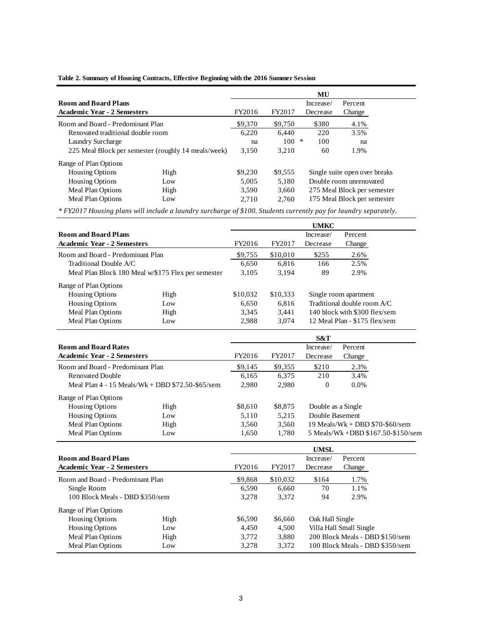|                                                     |      |         |           | MU       |                               |  |  |
|-----------------------------------------------------|------|---------|-----------|----------|-------------------------------|--|--|
| <b>Room and Board Plans</b>                         |      |         | Increase/ | Percent  |                               |  |  |
| <b>Academic Year - 2 Semesters</b>                  |      |         | FY2017    | Decrease | Change                        |  |  |
| Room and Board - Predominant Plan                   |      |         | \$9,750   | \$380    | 4.1%                          |  |  |
| Renovated traditional double room                   |      |         | 6.440     | 220      | 3.5%                          |  |  |
| Laundry Surcharge                                   |      |         | 100       | ∗<br>100 | na                            |  |  |
| 225 Meal Block per semester (roughly 14 meals/week) |      |         | 3,210     | 60       | 1.9%                          |  |  |
| Range of Plan Options                               |      |         |           |          |                               |  |  |
| <b>Housing Options</b>                              | High | \$9,230 | \$9,555   |          | Single suite open over breaks |  |  |
| <b>Housing Options</b>                              | Low  | 5.005   | 5,180     |          | Double room unrenovated       |  |  |
| Meal Plan Options                                   | High | 3,590   | 3,660     |          | 275 Meal Block per semester   |  |  |
| Meal Plan Options                                   | Low  | 2.710   | 2.760     |          | 175 Meal Block per semester   |  |  |
|                                                     |      |         |           |          |                               |  |  |

### **Table 2. Summary of Housing Contracts, Effective Beginning with the 2016 Summer Session**

*\* FY2017 Housing plans will include a laundry surcharge of \$100. Students currently pay for laundry separately.*

|                                                  |                                                    |          |           | <b>UMKC</b>        |                               |                                    |
|--------------------------------------------------|----------------------------------------------------|----------|-----------|--------------------|-------------------------------|------------------------------------|
| <b>Room and Board Plans</b>                      |                                                    |          | Increase/ | Percent            |                               |                                    |
| <b>Academic Year - 2 Semesters</b>               |                                                    | FY2016   | FY2017    | Decrease           | Change                        |                                    |
| Room and Board - Predominant Plan                |                                                    | \$9,755  | \$10,010  | \$255              | 2.6%                          |                                    |
| Traditional Double A/C                           |                                                    | 6,650    | 6,816     | 166                | 2.5%                          |                                    |
|                                                  | Meal Plan Block 180 Meal w/\$175 Flex per semester | 3,105    | 3,194     | 89                 | 2.9%                          |                                    |
| Range of Plan Options                            |                                                    |          |           |                    |                               |                                    |
| <b>Housing Options</b>                           | High                                               | \$10,032 | \$10,333  |                    | Single room apartment         |                                    |
| <b>Housing Options</b>                           | Low                                                | 6,650    | 6,816     |                    | Traditional double room A/C   |                                    |
| Meal Plan Options                                | High                                               | 3,345    | 3,441     |                    | 140 block with \$300 flex/sem |                                    |
| Meal Plan Options                                | Low                                                | 2,988    | 3,074     |                    | 12 Meal Plan - \$175 flex/sem |                                    |
|                                                  |                                                    |          |           | S&T                |                               |                                    |
| <b>Room and Board Rates</b>                      |                                                    |          |           | Increase/          | Percent                       |                                    |
| <b>Academic Year - 2 Semesters</b>               |                                                    | FY2016   | FY2017    | Decrease           | Change                        |                                    |
| Room and Board - Predominant Plan                |                                                    | \$9,145  | \$9,355   | \$210              | 2.3%                          |                                    |
| <b>Renovated Double</b>                          |                                                    | 6,165    | 6,375     | 210                | 3.4%                          |                                    |
| Meal Plan 4 - 15 Meals/Wk + DBD \$72.50-\$65/sem |                                                    | 2,980    | 2,980     | $\theta$           | 0.0%                          |                                    |
| Range of Plan Options                            |                                                    |          |           |                    |                               |                                    |
| <b>Housing Options</b>                           | High                                               | \$8,610  | \$8,875   | Double as a Single |                               |                                    |
| <b>Housing Options</b>                           | Low                                                | 5,110    | 5,215     | Double Basement    |                               |                                    |
| Meal Plan Options                                | High                                               | 3,560    | 3,560     |                    |                               | 19 Meals/Wk + DBD \$70-\$60/sem    |
| Meal Plan Options                                | Low                                                | 1,650    | 1,780     |                    |                               | 5 Meals/Wk +DBD \$167.50-\$150/sem |
|                                                  |                                                    |          |           | <b>UMSL</b>        |                               |                                    |
| <b>Room and Board Plans</b>                      |                                                    |          |           | Increase/          | Percent                       |                                    |
| <b>Academic Year - 2 Semesters</b>               |                                                    | FY2016   | FY2017    | Decrease           | Change                        |                                    |
| Room and Board - Predominant Plan                |                                                    | \$9,868  | \$10,032  | \$164              | 1.7%                          |                                    |
| Single Room                                      |                                                    | 6,590    | 6,660     | 70                 | 1.1%                          |                                    |
| 100 Block Meals - DBD \$350/sem                  |                                                    | 3,278    | 3,372     | 94                 | 2.9%                          |                                    |
| Range of Plan Options                            |                                                    |          |           |                    |                               |                                    |
| <b>Housing Options</b>                           | High                                               | \$6,590  | \$6,660   | Oak Hall Single    |                               |                                    |
| <b>Housing Options</b>                           | Low                                                | 4,450    | 4,500     |                    | Villa Hall Small Single       |                                    |
| Meal Plan Options                                | High                                               | 3,772    | 3,880     |                    |                               | 200 Block Meals - DBD \$150/sem    |
| Meal Plan Options                                | Low                                                | 3,278    | 3,372     |                    |                               | 100 Block Meals - DBD \$350/sem    |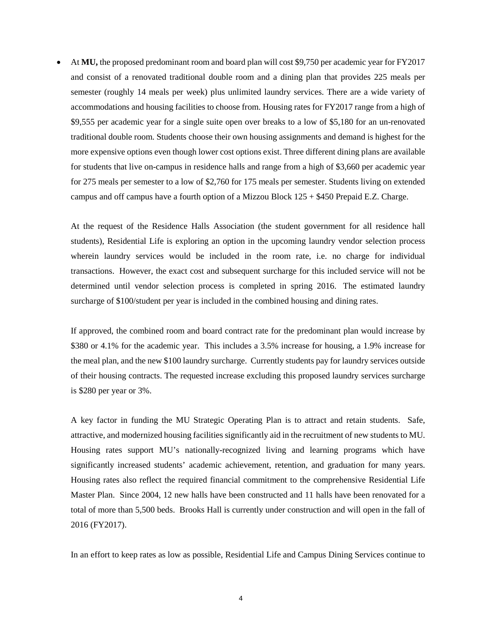• At **MU,** the proposed predominant room and board plan will cost \$9,750 per academic year for FY2017 and consist of a renovated traditional double room and a dining plan that provides 225 meals per semester (roughly 14 meals per week) plus unlimited laundry services. There are a wide variety of accommodations and housing facilities to choose from. Housing rates for FY2017 range from a high of \$9,555 per academic year for a single suite open over breaks to a low of \$5,180 for an un-renovated traditional double room. Students choose their own housing assignments and demand is highest for the more expensive options even though lower cost options exist. Three different dining plans are available for students that live on-campus in residence halls and range from a high of \$3,660 per academic year for 275 meals per semester to a low of \$2,760 for 175 meals per semester. Students living on extended campus and off campus have a fourth option of a Mizzou Block 125 + \$450 Prepaid E.Z. Charge.

At the request of the Residence Halls Association (the student government for all residence hall students), Residential Life is exploring an option in the upcoming laundry vendor selection process wherein laundry services would be included in the room rate, i.e. no charge for individual transactions. However, the exact cost and subsequent surcharge for this included service will not be determined until vendor selection process is completed in spring 2016. The estimated laundry surcharge of \$100/student per year is included in the combined housing and dining rates.

If approved, the combined room and board contract rate for the predominant plan would increase by \$380 or 4.1% for the academic year. This includes a 3.5% increase for housing, a 1.9% increase for the meal plan, and the new \$100 laundry surcharge. Currently students pay for laundry services outside of their housing contracts. The requested increase excluding this proposed laundry services surcharge is \$280 per year or 3%.

A key factor in funding the MU Strategic Operating Plan is to attract and retain students. Safe, attractive, and modernized housing facilities significantly aid in the recruitment of new students to MU. Housing rates support MU's nationally-recognized living and learning programs which have significantly increased students' academic achievement, retention, and graduation for many years. Housing rates also reflect the required financial commitment to the comprehensive Residential Life Master Plan. Since 2004, 12 new halls have been constructed and 11 halls have been renovated for a total of more than 5,500 beds. Brooks Hall is currently under construction and will open in the fall of 2016 (FY2017).

In an effort to keep rates as low as possible, Residential Life and Campus Dining Services continue to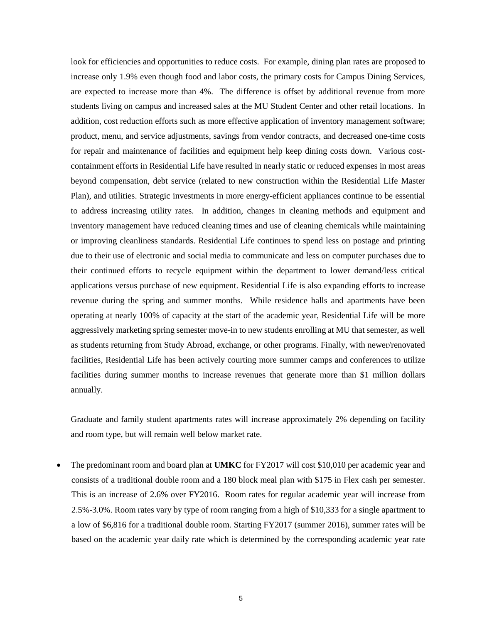look for efficiencies and opportunities to reduce costs. For example, dining plan rates are proposed to increase only 1.9% even though food and labor costs, the primary costs for Campus Dining Services, are expected to increase more than 4%. The difference is offset by additional revenue from more students living on campus and increased sales at the MU Student Center and other retail locations. In addition, cost reduction efforts such as more effective application of inventory management software; product, menu, and service adjustments, savings from vendor contracts, and decreased one-time costs for repair and maintenance of facilities and equipment help keep dining costs down. Various costcontainment efforts in Residential Life have resulted in nearly static or reduced expenses in most areas beyond compensation, debt service (related to new construction within the Residential Life Master Plan), and utilities. Strategic investments in more energy-efficient appliances continue to be essential to address increasing utility rates. In addition, changes in cleaning methods and equipment and inventory management have reduced cleaning times and use of cleaning chemicals while maintaining or improving cleanliness standards. Residential Life continues to spend less on postage and printing due to their use of electronic and social media to communicate and less on computer purchases due to their continued efforts to recycle equipment within the department to lower demand/less critical applications versus purchase of new equipment. Residential Life is also expanding efforts to increase revenue during the spring and summer months. While residence halls and apartments have been operating at nearly 100% of capacity at the start of the academic year, Residential Life will be more aggressively marketing spring semester move-in to new students enrolling at MU that semester, as well as students returning from Study Abroad, exchange, or other programs. Finally, with newer/renovated facilities, Residential Life has been actively courting more summer camps and conferences to utilize facilities during summer months to increase revenues that generate more than \$1 million dollars annually.

Graduate and family student apartments rates will increase approximately 2% depending on facility and room type, but will remain well below market rate.

• The predominant room and board plan at **UMKC** for FY2017 will cost \$10,010 per academic year and consists of a traditional double room and a 180 block meal plan with \$175 in Flex cash per semester. This is an increase of 2.6% over FY2016. Room rates for regular academic year will increase from 2.5%-3.0%. Room rates vary by type of room ranging from a high of \$10,333 for a single apartment to a low of \$6,816 for a traditional double room. Starting FY2017 (summer 2016), summer rates will be based on the academic year daily rate which is determined by the corresponding academic year rate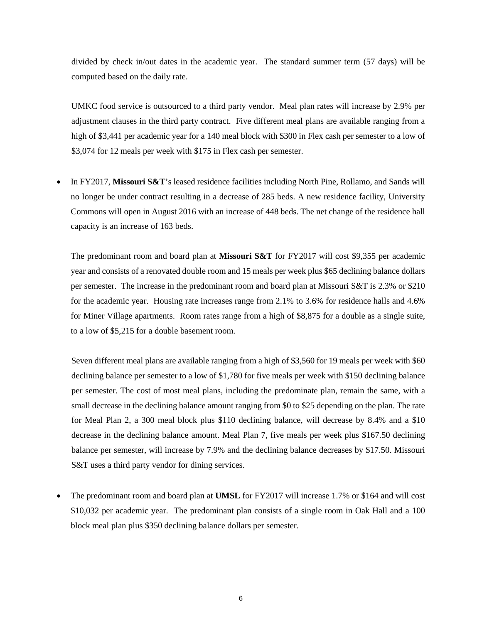divided by check in/out dates in the academic year. The standard summer term (57 days) will be computed based on the daily rate.

UMKC food service is outsourced to a third party vendor. Meal plan rates will increase by 2.9% per adjustment clauses in the third party contract. Five different meal plans are available ranging from a high of \$3,441 per academic year for a 140 meal block with \$300 in Flex cash per semester to a low of \$3,074 for 12 meals per week with \$175 in Flex cash per semester.

• In FY2017, **Missouri S&T**'s leased residence facilities including North Pine, Rollamo, and Sands will no longer be under contract resulting in a decrease of 285 beds. A new residence facility, University Commons will open in August 2016 with an increase of 448 beds. The net change of the residence hall capacity is an increase of 163 beds.

The predominant room and board plan at **Missouri S&T** for FY2017 will cost \$9,355 per academic year and consists of a renovated double room and 15 meals per week plus \$65 declining balance dollars per semester. The increase in the predominant room and board plan at Missouri S&T is 2.3% or \$210 for the academic year. Housing rate increases range from 2.1% to 3.6% for residence halls and 4.6% for Miner Village apartments. Room rates range from a high of \$8,875 for a double as a single suite, to a low of \$5,215 for a double basement room.

Seven different meal plans are available ranging from a high of \$3,560 for 19 meals per week with \$60 declining balance per semester to a low of \$1,780 for five meals per week with \$150 declining balance per semester. The cost of most meal plans, including the predominate plan, remain the same, with a small decrease in the declining balance amount ranging from \$0 to \$25 depending on the plan. The rate for Meal Plan 2, a 300 meal block plus \$110 declining balance, will decrease by 8.4% and a \$10 decrease in the declining balance amount. Meal Plan 7, five meals per week plus \$167.50 declining balance per semester, will increase by 7.9% and the declining balance decreases by \$17.50. Missouri S&T uses a third party vendor for dining services.

• The predominant room and board plan at **UMSL** for FY2017 will increase 1.7% or \$164 and will cost \$10,032 per academic year. The predominant plan consists of a single room in Oak Hall and a 100 block meal plan plus \$350 declining balance dollars per semester.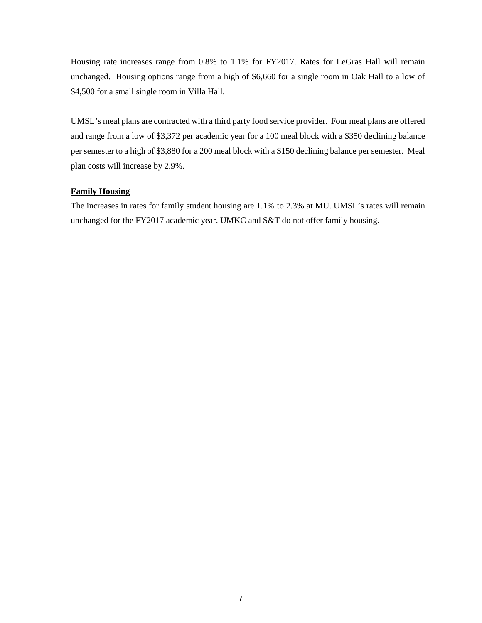Housing rate increases range from 0.8% to 1.1% for FY2017. Rates for LeGras Hall will remain unchanged. Housing options range from a high of \$6,660 for a single room in Oak Hall to a low of \$4,500 for a small single room in Villa Hall.

UMSL's meal plans are contracted with a third party food service provider. Four meal plans are offered and range from a low of \$3,372 per academic year for a 100 meal block with a \$350 declining balance per semester to a high of \$3,880 for a 200 meal block with a \$150 declining balance per semester. Meal plan costs will increase by 2.9%.

## **Family Housing**

The increases in rates for family student housing are 1.1% to 2.3% at MU. UMSL's rates will remain unchanged for the FY2017 academic year. UMKC and S&T do not offer family housing.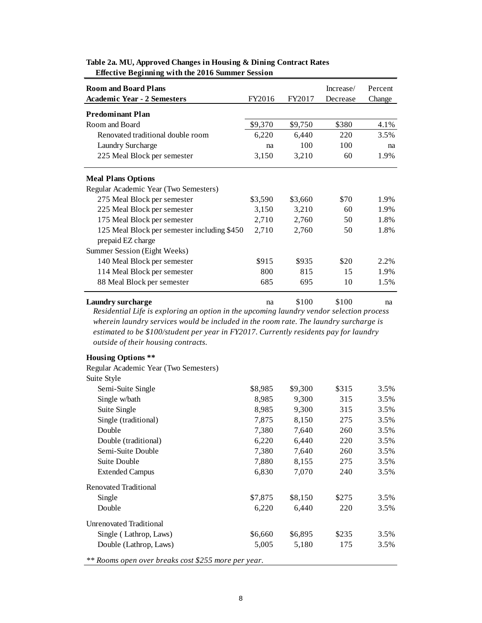| <b>Room and Board Plans</b>                 |         |         | Increase/ | Percent |
|---------------------------------------------|---------|---------|-----------|---------|
| <b>Academic Year - 2 Semesters</b>          | FY2016  | FY2017  | Decrease  | Change  |
| <b>Predominant Plan</b>                     |         |         |           |         |
| Room and Board                              | \$9,370 | \$9,750 | \$380     | 4.1%    |
| Renovated traditional double room           | 6,220   | 6,440   | 220       | 3.5%    |
| <b>Laundry Surcharge</b>                    | na      | 100     | 100       | na      |
| 225 Meal Block per semester                 | 3,150   | 3,210   | 60        | 1.9%    |
| <b>Meal Plans Options</b>                   |         |         |           |         |
| Regular Academic Year (Two Semesters)       |         |         |           |         |
| 275 Meal Block per semester                 | \$3,590 | \$3,660 | \$70      | 1.9%    |
| 225 Meal Block per semester                 | 3,150   | 3,210   | 60        | 1.9%    |
| 175 Meal Block per semester                 | 2,710   | 2,760   | 50        | 1.8%    |
| 125 Meal Block per semester including \$450 | 2,710   | 2,760   | 50        | 1.8%    |
| prepaid EZ charge                           |         |         |           |         |
| Summer Session (Eight Weeks)                |         |         |           |         |
| 140 Meal Block per semester                 | \$915   | \$935   | \$20      | 2.2%    |
| 114 Meal Block per semester                 | 800     | 815     | 15        | 1.9%    |
| 88 Meal Block per semester                  | 685     | 695     | 10        | 1.5%    |

## **Table 2a. MU, Approved Changes in Housing & Dining Contract Rates Effective Beginning with the 2016 Summer Session**

**Laundry surcharge** na  $\frac{100}{100}$  na  $\frac{100}{100}$  na *Residential Life is exploring an option in the upcoming laundry vendor selection process wherein laundry services would be included in the room rate. The laundry surcharge is estimated to be \$100/student per year in FY2017. Currently residents pay for laundry outside of their housing contracts.*

### **Housing Options \*\***

Regular Academic Year (Two Semesters)

| Suite Style             |         |         |       |      |
|-------------------------|---------|---------|-------|------|
| Semi-Suite Single       | \$8,985 | \$9,300 | \$315 | 3.5% |
| Single w/bath           | 8,985   | 9,300   | 315   | 3.5% |
| Suite Single            | 8,985   | 9,300   | 315   | 3.5% |
| Single (traditional)    | 7,875   | 8,150   | 275   | 3.5% |
| Double                  | 7,380   | 7,640   | 260   | 3.5% |
| Double (traditional)    | 6,220   | 6,440   | 220   | 3.5% |
| Semi-Suite Double       | 7,380   | 7,640   | 260   | 3.5% |
| Suite Double            | 7,880   | 8,155   | 275   | 3.5% |
| <b>Extended Campus</b>  | 6,830   | 7,070   | 240   | 3.5% |
| Renovated Traditional   |         |         |       |      |
| Single                  | \$7,875 | \$8,150 | \$275 | 3.5% |
| Double                  | 6,220   | 6,440   | 220   | 3.5% |
| Unrenovated Traditional |         |         |       |      |
| Single (Lathrop, Laws)  | \$6,660 | \$6,895 | \$235 | 3.5% |
| Double (Lathrop, Laws)  | 5,005   | 5,180   | 175   | 3.5% |
|                         |         |         |       |      |

*\*\* Rooms open over breaks cost \$255 more per year.*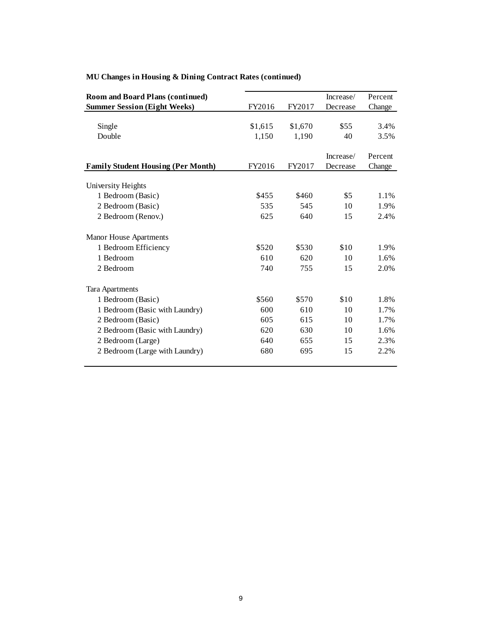| <b>Room and Board Plans (continued)</b>   |         |         | Increase/ | Percent |
|-------------------------------------------|---------|---------|-----------|---------|
| <b>Summer Session (Eight Weeks)</b>       | FY2016  | FY2017  | Decrease  | Change  |
|                                           |         |         |           |         |
| Single                                    | \$1,615 | \$1,670 | \$55      | 3.4%    |
| Double                                    | 1,150   | 1,190   | 40        | 3.5%    |
|                                           |         |         |           |         |
|                                           |         |         | Increase/ | Percent |
| <b>Family Student Housing (Per Month)</b> | FY2016  | FY2017  | Decrease  | Change  |
|                                           |         |         |           |         |
| University Heights                        |         |         |           |         |
| 1 Bedroom (Basic)                         | \$455   | \$460   | \$5       | 1.1%    |
| 2 Bedroom (Basic)                         | 535     | 545     | 10        | 1.9%    |
| 2 Bedroom (Renov.)                        | 625     | 640     | 15        | 2.4%    |
| Manor House Apartments                    |         |         |           |         |
| 1 Bedroom Efficiency                      | \$520   | \$530   | \$10      | 1.9%    |
| 1 Bedroom                                 | 610     | 620     | 10        | 1.6%    |
| 2 Bedroom                                 | 740     | 755     | 15        | 2.0%    |
| <b>Tara Apartments</b>                    |         |         |           |         |
| 1 Bedroom (Basic)                         | \$560   | \$570   | \$10      | 1.8%    |
| 1 Bedroom (Basic with Laundry)            | 600     | 610     | 10        | 1.7%    |
| 2 Bedroom (Basic)                         | 605     | 615     | 10        | 1.7%    |
| 2 Bedroom (Basic with Laundry)            | 620     | 630     | 10        | 1.6%    |
| 2 Bedroom (Large)                         | 640     | 655     | 15        | 2.3%    |
| 2 Bedroom (Large with Laundry)            | 680     | 695     | 15        | 2.2%    |
|                                           |         |         |           |         |

# **MU Changes in Housing & Dining Contract Rates (continued)**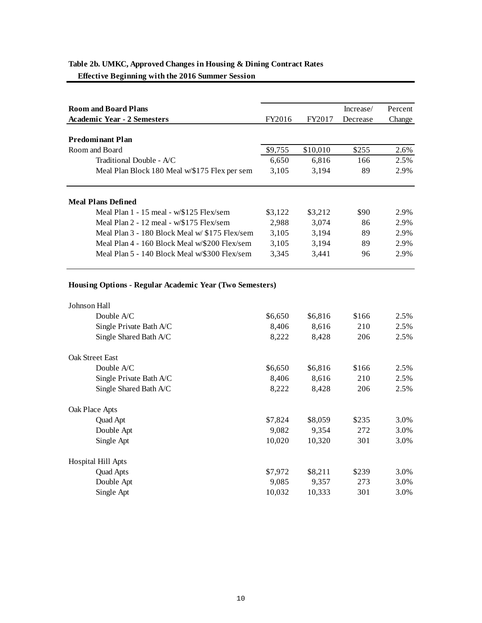**Effective Beginning with the 2016 Summer Session**

| <b>Room and Board Plans</b>                    |         |          | Increase/ | Percent |
|------------------------------------------------|---------|----------|-----------|---------|
| <b>Academic Year - 2 Semesters</b>             | FY2016  | FY2017   | Decrease  | Change  |
|                                                |         |          |           |         |
| <b>Predominant Plan</b>                        |         |          |           |         |
| Room and Board                                 | \$9,755 | \$10,010 | \$255     | 2.6%    |
| Traditional Double - A/C                       | 6,650   | 6,816    | 166       | 2.5%    |
| Meal Plan Block 180 Meal w/\$175 Flex per sem  | 3,105   | 3,194    | 89        | 2.9%    |
|                                                |         |          |           |         |
| <b>Meal Plans Defined</b>                      |         |          |           |         |
| Meal Plan $1 - 15$ meal - $w/\$125$ Flex/sem   | \$3,122 | \$3,212  | \$90      | 2.9%    |
| Meal Plan $2 - 12$ meal - w/\$175 Flex/sem     | 2.988   | 3,074    | 86        | 2.9%    |
| Meal Plan 3 - 180 Block Meal w/ \$175 Flex/sem | 3,105   | 3,194    | 89        | 2.9%    |
| Meal Plan 4 - 160 Block Meal w/\$200 Flex/sem  | 3,105   | 3,194    | 89        | 2.9%    |
| Meal Plan 5 - 140 Block Meal w/\$300 Flex/sem  | 3,345   | 3,441    | 96        | 2.9%    |

## **Housing Options - Regular Academic Year (Two Semesters)**

| Johnson Hall            |         |         |       |      |
|-------------------------|---------|---------|-------|------|
| Double $A/C$            | \$6,650 | \$6,816 | \$166 | 2.5% |
| Single Private Bath A/C | 8,406   | 8,616   | 210   | 2.5% |
| Single Shared Bath A/C  | 8,222   | 8,428   | 206   | 2.5% |
| <b>Oak Street East</b>  |         |         |       |      |
| Double $A/C$            | \$6,650 | \$6,816 | \$166 | 2.5% |
| Single Private Bath A/C | 8,406   | 8,616   | 210   | 2.5% |
| Single Shared Bath A/C  | 8,222   | 8,428   | 206   | 2.5% |
| Oak Place Apts          |         |         |       |      |
| Quad Apt                | \$7,824 | \$8,059 | \$235 | 3.0% |
| Double Apt              | 9,082   | 9.354   | 272   | 3.0% |
| Single Apt              | 10,020  | 10,320  | 301   | 3.0% |
| Hospital Hill Apts      |         |         |       |      |
| <b>Quad Apts</b>        | \$7,972 | \$8,211 | \$239 | 3.0% |
| Double Apt              | 9,085   | 9,357   | 273   | 3.0% |
| Single Apt              | 10,032  | 10,333  | 301   | 3.0% |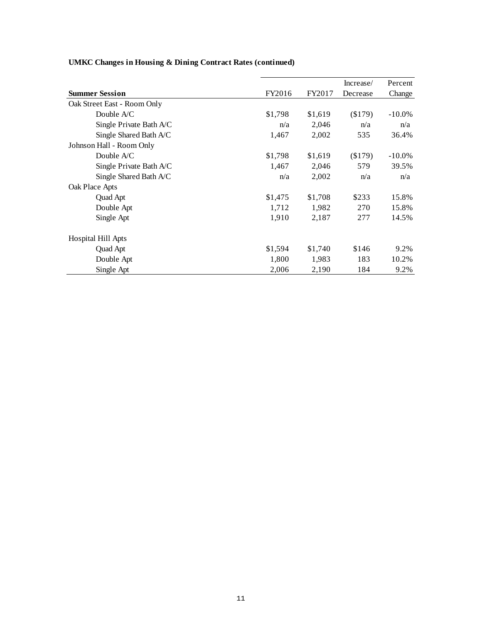|                             |         |         | Increase/ | Percent   |
|-----------------------------|---------|---------|-----------|-----------|
| <b>Summer Session</b>       | FY2016  | FY2017  | Decrease  | Change    |
| Oak Street East - Room Only |         |         |           |           |
| Double $A/C$                | \$1,798 | \$1,619 | (\$179)   | $-10.0\%$ |
| Single Private Bath A/C     | n/a     | 2,046   | n/a       | n/a       |
| Single Shared Bath A/C      | 1,467   | 2,002   | 535       | 36.4%     |
| Johnson Hall - Room Only    |         |         |           |           |
| Double $A/C$                | \$1,798 | \$1,619 | (\$179)   | $-10.0\%$ |
| Single Private Bath A/C     | 1,467   | 2,046   | 579       | 39.5%     |
| Single Shared Bath A/C      | n/a     | 2,002   | n/a       | n/a       |
| Oak Place Apts              |         |         |           |           |
| Quad Apt                    | \$1,475 | \$1,708 | \$233     | 15.8%     |
| Double Apt                  | 1,712   | 1,982   | 270       | 15.8%     |
| Single Apt                  | 1,910   | 2,187   | 277       | 14.5%     |
| Hospital Hill Apts          |         |         |           |           |
| Quad Apt                    | \$1,594 | \$1,740 | \$146     | 9.2%      |
| Double Apt                  | 1,800   | 1,983   | 183       | 10.2%     |
| Single Apt                  | 2,006   | 2,190   | 184       | 9.2%      |

# **UMKC Changes in Housing & Dining Contract Rates (continued)**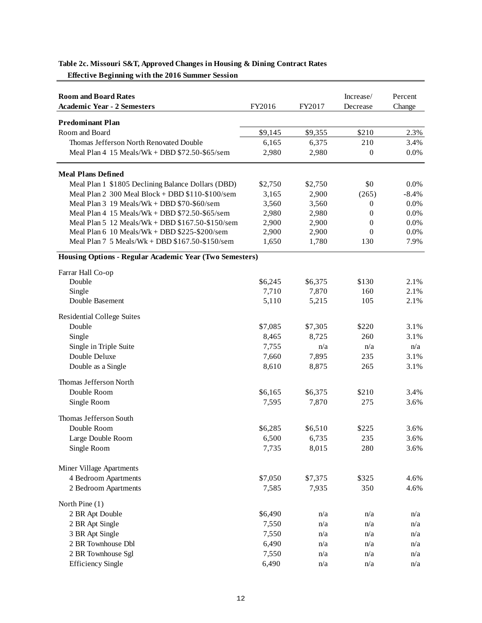| <b>Room and Board Rates</b>                             |         |         | Increase/        | Percent |
|---------------------------------------------------------|---------|---------|------------------|---------|
| <b>Academic Year - 2 Semesters</b>                      | FY2016  | FY2017  | Decrease         | Change  |
| <b>Predominant Plan</b>                                 |         |         |                  |         |
| Room and Board                                          | \$9,145 | \$9,355 | \$210            | 2.3%    |
| Thomas Jefferson North Renovated Double                 | 6,165   | 6,375   | 210              | 3.4%    |
| Meal Plan $4$ 15 Meals/Wk + DBD $$72.50-\$65/\$$ em     | 2,980   | 2,980   | $\mathbf{0}$     | 0.0%    |
| <b>Meal Plans Defined</b>                               |         |         |                  |         |
| Meal Plan 1 \$1805 Declining Balance Dollars (DBD)      | \$2,750 | \$2,750 | \$0              | $0.0\%$ |
| Meal Plan 2 300 Meal Block + DBD \$110-\$100/sem        | 3,165   | 2,900   | (265)            | $-8.4%$ |
| Meal Plan $3$ 19 Meals/Wk + DBD $$70-\$60$ /sem         | 3,560   | 3,560   | $\boldsymbol{0}$ | 0.0%    |
| Meal Plan $4$ 15 Meals/Wk + DBD $$72.50-\$65/\$$ em     | 2,980   | 2,980   | $\theta$         | 0.0%    |
| Meal Plan 5 12 Meals/Wk + DBD \$167.50-\$150/sem        | 2,900   | 2,900   | $\theta$         | 0.0%    |
| Meal Plan $6$ 10 Meals/Wk + DBD \$225-\$200/sem         | 2,900   | 2,900   | $\Omega$         | 0.0%    |
| Meal Plan 7 5 Meals/Wk + DBD $$167.50-\$150$ /sem       | 1,650   | 1,780   | 130              | 7.9%    |
| Housing Options - Regular Academic Year (Two Semesters) |         |         |                  |         |
| Farrar Hall Co-op                                       |         |         |                  |         |
| Double                                                  | \$6,245 | \$6,375 | \$130            | 2.1%    |
| Single                                                  | 7,710   | 7,870   | 160              | 2.1%    |
| Double Basement                                         | 5,110   | 5,215   | 105              | 2.1%    |
| <b>Residential College Suites</b>                       |         |         |                  |         |
| Double                                                  | \$7,085 | \$7,305 | \$220            | 3.1%    |
| Single                                                  | 8,465   | 8,725   | 260              | 3.1%    |
| Single in Triple Suite                                  | 7,755   | n/a     | n/a              | n/a     |
| Double Deluxe                                           | 7,660   | 7,895   | 235              | 3.1%    |
| Double as a Single                                      | 8,610   | 8,875   | 265              | 3.1%    |
| Thomas Jefferson North                                  |         |         |                  |         |
| Double Room                                             | \$6,165 | \$6,375 | \$210            | 3.4%    |
| Single Room                                             | 7,595   | 7,870   | 275              | 3.6%    |
| Thomas Jefferson South                                  |         |         |                  |         |
| Double Room                                             | \$6,285 | \$6,510 | \$225            | 3.6%    |
| Large Double Room                                       | 6,500   | 6,735   | 235              | 3.6%    |
| Single Room                                             | 7,735   | 8,015   | 280              | 3.6%    |
| Miner Village Apartments                                |         |         |                  |         |
| 4 Bedroom Apartments                                    | \$7,050 | \$7,375 | \$325            | 4.6%    |
| 2 Bedroom Apartments                                    | 7,585   | 7,935   | 350              | 4.6%    |
| North Pine (1)                                          |         |         |                  |         |
| 2 BR Apt Double                                         | \$6,490 | n/a     | n/a              | n/a     |
| 2 BR Apt Single                                         | 7,550   | n/a     | n/a              | n/a     |
| 3 BR Apt Single                                         | 7,550   | n/a     | n/a              | n/a     |
| 2 BR Townhouse Dbl                                      | 6,490   | n/a     | n/a              | n/a     |
| 2 BR Townhouse Sgl                                      | 7,550   | n/a     | n/a              | n/a     |
| <b>Efficiency Single</b>                                | 6,490   | n/a     | n/a              | n/a     |

## **Table 2c. Missouri S&T, Approved Changes in Housing & Dining Contract Rates**

 **Effective Beginning with the 2016 Summer Session**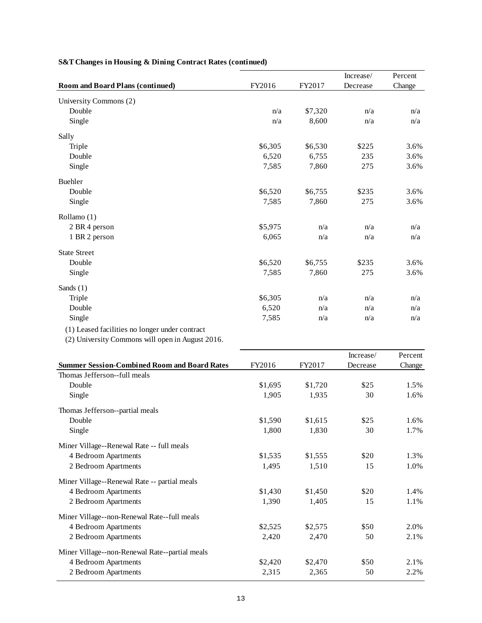|                                                  |         |         | Increase/ | Percent |
|--------------------------------------------------|---------|---------|-----------|---------|
| <b>Room and Board Plans (continued)</b>          | FY2016  | FY2017  | Decrease  | Change  |
| University Commons (2)                           |         |         |           |         |
| Double                                           | n/a     | \$7,320 | n/a       | n/a     |
| Single                                           | n/a     | 8,600   | n/a       | n/a     |
| Sally                                            |         |         |           |         |
| Triple                                           | \$6,305 | \$6,530 | \$225     | 3.6%    |
| Double                                           | 6,520   | 6,755   | 235       | 3.6%    |
| Single                                           | 7,585   | 7,860   | 275       | 3.6%    |
| <b>Buehler</b>                                   |         |         |           |         |
| Double                                           | \$6,520 | \$6,755 | \$235     | 3.6%    |
| Single                                           | 7,585   | 7,860   | 275       | 3.6%    |
| Rollamo (1)                                      |         |         |           |         |
| 2 BR 4 person                                    | \$5,975 | n/a     | n/a       | n/a     |
| 1 BR 2 person                                    | 6,065   | n/a     | n/a       | n/a     |
| <b>State Street</b>                              |         |         |           |         |
| Double                                           | \$6,520 | \$6,755 | \$235     | 3.6%    |
| Single                                           | 7,585   | 7,860   | 275       | 3.6%    |
| Sands $(1)$                                      |         |         |           |         |
| Triple                                           | \$6,305 | n/a     | n/a       | n/a     |
| Double                                           | 6,520   | n/a     | n/a       | n/a     |
| Single                                           | 7,585   | n/a     | n/a       | n/a     |
| (1) Leased facilities no longer under contract   |         |         |           |         |
| (2) University Commons will open in August 2016. |         |         |           |         |
|                                                  |         |         | Increase/ | Percent |

# **S&T Changes in Housing & Dining Contract Rates (continued)**

|         |         | mcrease/ | rercent |
|---------|---------|----------|---------|
| FY2016  | FY2017  | Decrease | Change  |
|         |         |          |         |
| \$1,695 | \$1,720 | \$25     | 1.5%    |
| 1,905   | 1,935   | 30       | 1.6%    |
|         |         |          |         |
| \$1,590 | \$1,615 | \$25     | 1.6%    |
| 1,800   | 1,830   | 30       | 1.7%    |
|         |         |          |         |
| \$1,535 | \$1,555 | \$20     | 1.3%    |
| 1,495   | 1,510   | 15       | 1.0%    |
|         |         |          |         |
| \$1,430 | \$1,450 | \$20     | 1.4%    |
| 1,390   | 1,405   | 15       | 1.1%    |
|         |         |          |         |
| \$2,525 | \$2,575 | \$50     | 2.0%    |
| 2,420   | 2,470   | 50       | 2.1%    |
|         |         |          |         |
| \$2,420 | \$2,470 | \$50     | 2.1%    |
| 2,315   | 2,365   | 50       | 2.2%    |
|         |         |          |         |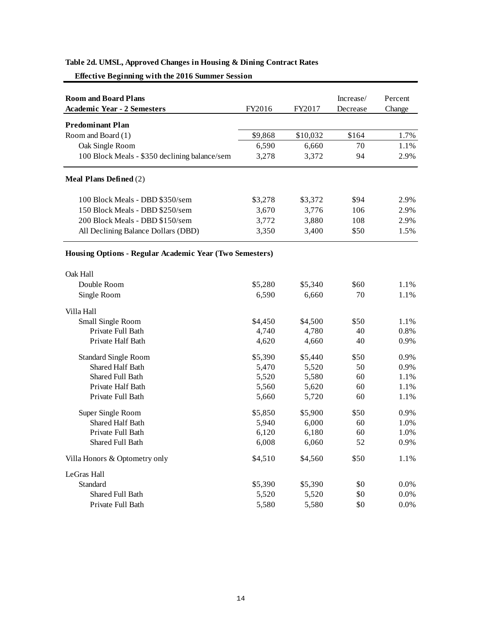| <b>Room and Board Plans</b>                             |         |          | Increase/ | Percent |
|---------------------------------------------------------|---------|----------|-----------|---------|
| <b>Academic Year - 2 Semesters</b>                      | FY2016  | FY2017   | Decrease  | Change  |
| <b>Predominant Plan</b>                                 |         |          |           |         |
| Room and Board (1)                                      | \$9,868 | \$10,032 | \$164     | 1.7%    |
| Oak Single Room                                         | 6,590   | 6,660    | 70        | 1.1%    |
| 100 Block Meals - \$350 declining balance/sem           | 3,278   | 3,372    | 94        | 2.9%    |
|                                                         |         |          |           |         |
| <b>Meal Plans Defined (2)</b>                           |         |          |           |         |
| 100 Block Meals - DBD \$350/sem                         | \$3,278 | \$3,372  | \$94      | 2.9%    |
| 150 Block Meals - DBD \$250/sem                         | 3,670   | 3,776    | 106       | 2.9%    |
| 200 Block Meals - DBD \$150/sem                         | 3,772   | 3,880    | 108       | 2.9%    |
| All Declining Balance Dollars (DBD)                     | 3,350   | 3,400    | \$50      | 1.5%    |
| Housing Options - Regular Academic Year (Two Semesters) |         |          |           |         |
| Oak Hall                                                |         |          |           |         |
| Double Room                                             | \$5,280 | \$5,340  | \$60      | 1.1%    |
| Single Room                                             | 6,590   | 6,660    | 70        | 1.1%    |
| Villa Hall                                              |         |          |           |         |
| Small Single Room                                       | \$4,450 | \$4,500  | \$50      | 1.1%    |
| Private Full Bath                                       | 4,740   | 4,780    | 40        | 0.8%    |
| Private Half Bath                                       | 4,620   | 4,660    | 40        | 0.9%    |
| <b>Standard Single Room</b>                             | \$5,390 | \$5,440  | \$50      | 0.9%    |
| <b>Shared Half Bath</b>                                 | 5,470   | 5,520    | 50        | 0.9%    |
| Shared Full Bath                                        | 5,520   | 5,580    | 60        | 1.1%    |
| Private Half Bath                                       | 5,560   | 5,620    | 60        | 1.1%    |
| Private Full Bath                                       | 5,660   | 5,720    | 60        | 1.1%    |
| Super Single Room                                       | \$5,850 | \$5,900  | \$50      | 0.9%    |
| Shared Half Bath                                        | 5,940   | 6,000    | 60        | 1.0%    |
| Private Full Bath                                       | 6,120   | 6,180    | 60        | 1.0%    |
| Shared Full Bath                                        | 6,008   | 6,060    | 52        | 0.9%    |
| Villa Honors & Optometry only                           | \$4,510 | \$4,560  | \$50      | $1.1\%$ |
| LeGras Hall                                             |         |          |           |         |
| Standard                                                | \$5,390 | \$5,390  | \$0       | 0.0%    |
| Shared Full Bath                                        | 5,520   | 5,520    | \$0       | 0.0%    |
| Private Full Bath                                       | 5,580   | 5,580    | \$0       | 0.0%    |

# **Table 2d. UMSL, Approved Changes in Housing & Dining Contract Rates**

 **Effective Beginning with the 2016 Summer Session**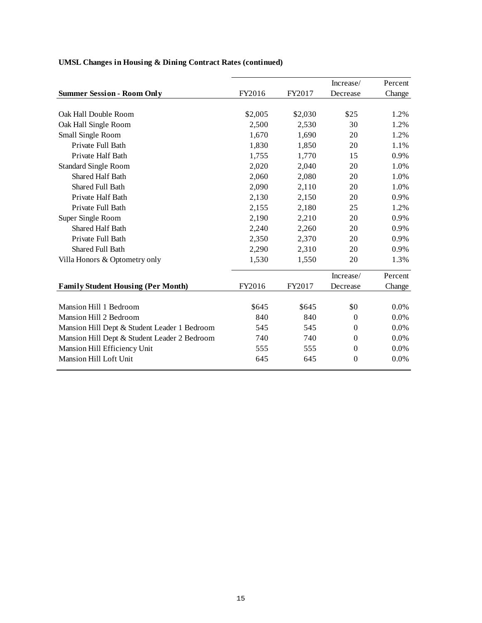|                                              |         |         | Increase/      | Percent |
|----------------------------------------------|---------|---------|----------------|---------|
| <b>Summer Session - Room Only</b>            | FY2016  | FY2017  | Decrease       | Change  |
|                                              |         |         |                |         |
| Oak Hall Double Room                         | \$2,005 | \$2,030 | \$25           | 1.2%    |
| Oak Hall Single Room                         | 2,500   | 2,530   | 30             | 1.2%    |
| Small Single Room                            | 1,670   | 1,690   | 20             | 1.2%    |
| Private Full Bath                            | 1,830   | 1,850   | 20             | 1.1%    |
| Private Half Bath                            | 1,755   | 1,770   | 15             | 0.9%    |
| <b>Standard Single Room</b>                  | 2,020   | 2,040   | 20             | 1.0%    |
| <b>Shared Half Bath</b>                      | 2,060   | 2,080   | 20             | 1.0%    |
| <b>Shared Full Bath</b>                      | 2,090   | 2,110   | 20             | 1.0%    |
| Private Half Bath                            | 2,130   | 2,150   | 20             | 0.9%    |
| Private Full Bath                            | 2,155   | 2,180   | 25             | 1.2%    |
| Super Single Room                            | 2,190   | 2,210   | 20             | 0.9%    |
| <b>Shared Half Bath</b>                      | 2,240   | 2,260   | 20             | 0.9%    |
| Private Full Bath                            | 2,350   | 2,370   | 20             | 0.9%    |
| Shared Full Bath                             | 2,290   | 2,310   | 20             | 0.9%    |
| Villa Honors & Optometry only                | 1,530   | 1,550   | 20             | 1.3%    |
|                                              |         |         | Increase/      | Percent |
| <b>Family Student Housing (Per Month)</b>    | FY2016  | FY2017  | Decrease       | Change  |
| Mansion Hill 1 Bedroom                       | \$645   | \$645   | \$0            | 0.0%    |
| Mansion Hill 2 Bedroom                       | 840     | 840     | $\overline{0}$ | 0.0%    |
| Mansion Hill Dept & Student Leader 1 Bedroom | 545     | 545     | $\theta$       | 0.0%    |
| Mansion Hill Dept & Student Leader 2 Bedroom | 740     | 740     | $\Omega$       | $0.0\%$ |
| Mansion Hill Efficiency Unit                 | 555     | 555     | $\theta$       | 0.0%    |
| Mansion Hill Loft Unit                       | 645     | 645     | $\mathbf{0}$   | 0.0%    |
|                                              |         |         |                |         |

# **UMSL Changes in Housing & Dining Contract Rates (continued)**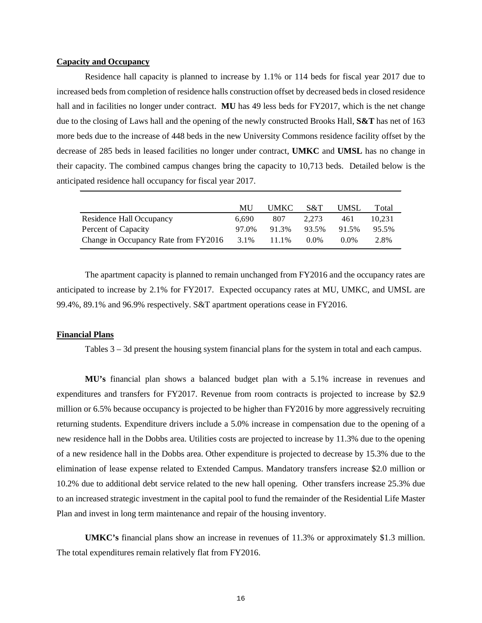### **Capacity and Occupancy**

Residence hall capacity is planned to increase by 1.1% or 114 beds for fiscal year 2017 due to increased beds from completion of residence halls construction offset by decreased beds in closed residence hall and in facilities no longer under contract. **MU** has 49 less beds for FY2017, which is the net change due to the closing of Laws hall and the opening of the newly constructed Brooks Hall, **S&T** has net of 163 more beds due to the increase of 448 beds in the new University Commons residence facility offset by the decrease of 285 beds in leased facilities no longer under contract, **UMKC** and **UMSL** has no change in their capacity. The combined campus changes bring the capacity to 10,713 beds. Detailed below is the anticipated residence hall occupancy for fiscal year 2017.

|                                      | MU    | <b>UMKC</b> | S&T   | UMSL  | Total  |
|--------------------------------------|-------|-------------|-------|-------|--------|
| Residence Hall Occupancy             | 6.690 | 807         | 2.273 | 461   | 10.231 |
| Percent of Capacity                  | 97.0% | 91.3%       | 93.5% | 91.5% | 95.5%  |
| Change in Occupancy Rate from FY2016 | 3.1%  | 11.1%       | 0.0%  | 0.0%  | 2.8%   |

 The apartment capacity is planned to remain unchanged from FY2016 and the occupancy rates are anticipated to increase by 2.1% for FY2017. Expected occupancy rates at MU, UMKC, and UMSL are 99.4%, 89.1% and 96.9% respectively. S&T apartment operations cease in FY2016.

### **Financial Plans**

Tables 3 – 3d present the housing system financial plans for the system in total and each campus.

**MU's** financial plan shows a balanced budget plan with a 5.1% increase in revenues and expenditures and transfers for FY2017. Revenue from room contracts is projected to increase by \$2.9 million or 6.5% because occupancy is projected to be higher than FY2016 by more aggressively recruiting returning students. Expenditure drivers include a 5.0% increase in compensation due to the opening of a new residence hall in the Dobbs area. Utilities costs are projected to increase by 11.3% due to the opening of a new residence hall in the Dobbs area. Other expenditure is projected to decrease by 15.3% due to the elimination of lease expense related to Extended Campus. Mandatory transfers increase \$2.0 million or 10.2% due to additional debt service related to the new hall opening. Other transfers increase 25.3% due to an increased strategic investment in the capital pool to fund the remainder of the Residential Life Master Plan and invest in long term maintenance and repair of the housing inventory.

**UMKC's** financial plans show an increase in revenues of 11.3% or approximately \$1.3 million. The total expenditures remain relatively flat from FY2016.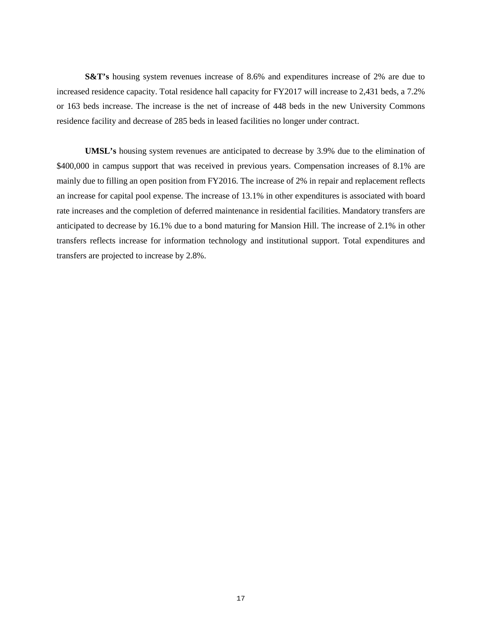**S&T's** housing system revenues increase of 8.6% and expenditures increase of 2% are due to increased residence capacity. Total residence hall capacity for FY2017 will increase to 2,431 beds, a 7.2% or 163 beds increase. The increase is the net of increase of 448 beds in the new University Commons residence facility and decrease of 285 beds in leased facilities no longer under contract.

**UMSL's** housing system revenues are anticipated to decrease by 3.9% due to the elimination of \$400,000 in campus support that was received in previous years. Compensation increases of 8.1% are mainly due to filling an open position from FY2016. The increase of 2% in repair and replacement reflects an increase for capital pool expense. The increase of 13.1% in other expenditures is associated with board rate increases and the completion of deferred maintenance in residential facilities. Mandatory transfers are anticipated to decrease by 16.1% due to a bond maturing for Mansion Hill. The increase of 2.1% in other transfers reflects increase for information technology and institutional support. Total expenditures and transfers are projected to increase by 2.8%.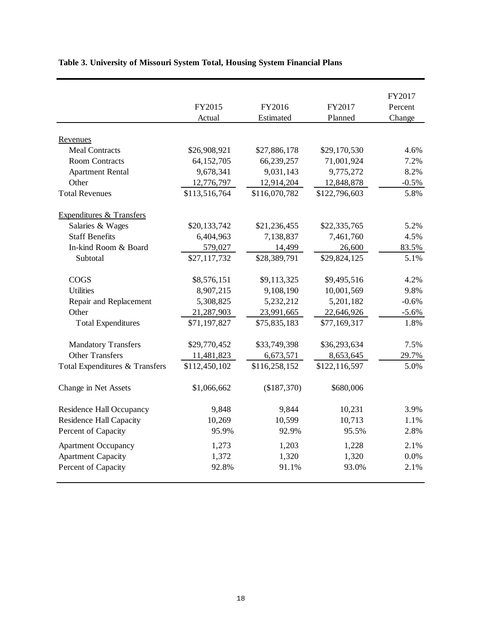|                                     |               |               |               | FY2017  |
|-------------------------------------|---------------|---------------|---------------|---------|
|                                     | FY2015        | FY2016        | FY2017        | Percent |
|                                     | Actual        | Estimated     | Planned       | Change  |
|                                     |               |               |               |         |
| Revenues                            |               |               |               |         |
| <b>Meal Contracts</b>               | \$26,908,921  | \$27,886,178  | \$29,170,530  | 4.6%    |
| <b>Room Contracts</b>               | 64,152,705    | 66,239,257    | 71,001,924    | 7.2%    |
| <b>Apartment Rental</b>             | 9,678,341     | 9,031,143     | 9,775,272     | 8.2%    |
| Other                               | 12,776,797    | 12,914,204    | 12,848,878    | $-0.5%$ |
| <b>Total Revenues</b>               | \$113,516,764 | \$116,070,782 | \$122,796,603 | 5.8%    |
| <b>Expenditures &amp; Transfers</b> |               |               |               |         |
| Salaries & Wages                    | \$20,133,742  | \$21,236,455  | \$22,335,765  | 5.2%    |
| <b>Staff Benefits</b>               | 6,404,963     | 7,138,837     | 7,461,760     | 4.5%    |
| In-kind Room & Board                | 579,027       | 14,499        | 26,600        | 83.5%   |
| Subtotal                            | \$27,117,732  | \$28,389,791  | \$29,824,125  | 5.1%    |
| <b>COGS</b>                         | \$8,576,151   | \$9,113,325   | \$9,495,516   | 4.2%    |
| <b>Utilities</b>                    | 8,907,215     | 9,108,190     | 10,001,569    | 9.8%    |
| Repair and Replacement              | 5,308,825     | 5,232,212     | 5,201,182     | $-0.6%$ |
| Other                               | 21,287,903    | 23,991,665    | 22,646,926    | $-5.6%$ |
| <b>Total Expenditures</b>           | \$71,197,827  | \$75,835,183  | \$77,169,317  | 1.8%    |
| <b>Mandatory Transfers</b>          | \$29,770,452  | \$33,749,398  | \$36,293,634  | 7.5%    |
| <b>Other Transfers</b>              | 11,481,823    | 6,673,571     | 8,653,645     | 29.7%   |
| Total Expenditures & Transfers      | \$112,450,102 | \$116,258,152 | \$122,116,597 | 5.0%    |
| Change in Net Assets                | \$1,066,662   | (\$187,370)   | \$680,006     |         |
| <b>Residence Hall Occupancy</b>     | 9,848         | 9,844         | 10,231        | 3.9%    |
| <b>Residence Hall Capacity</b>      | 10,269        | 10,599        | 10,713        | 1.1%    |
| Percent of Capacity                 | 95.9%         | 92.9%         | 95.5%         | 2.8%    |
| <b>Apartment Occupancy</b>          | 1,273         | 1,203         | 1,228         | 2.1%    |
| <b>Apartment Capacity</b>           | 1,372         | 1,320         | 1,320         | 0.0%    |
| Percent of Capacity                 | 92.8%         | 91.1%         | 93.0%         | 2.1%    |
|                                     |               |               |               |         |

# **Table 3. University of Missouri System Total, Housing System Financial Plans**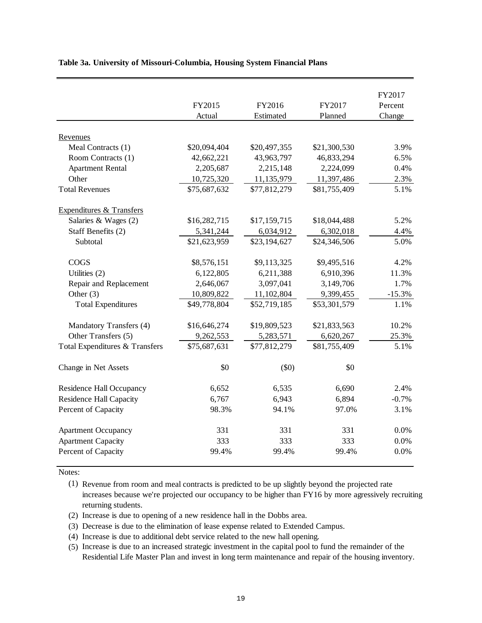|                                 |              |              |              | FY2017   |
|---------------------------------|--------------|--------------|--------------|----------|
|                                 | FY2015       | FY2016       | FY2017       | Percent  |
|                                 | Actual       | Estimated    | Planned      | Change   |
|                                 |              |              |              |          |
| Revenues                        |              |              |              |          |
| Meal Contracts (1)              | \$20,094,404 | \$20,497,355 | \$21,300,530 | 3.9%     |
| Room Contracts (1)              | 42,662,221   | 43,963,797   | 46,833,294   | 6.5%     |
| <b>Apartment Rental</b>         | 2,205,687    | 2,215,148    | 2,224,099    | 0.4%     |
| Other                           | 10,725,320   | 11,135,979   | 11,397,486   | 2.3%     |
| <b>Total Revenues</b>           | \$75,687,632 | \$77,812,279 | \$81,755,409 | 5.1%     |
| Expenditures & Transfers        |              |              |              |          |
| Salaries & Wages (2)            | \$16,282,715 | \$17,159,715 | \$18,044,488 | 5.2%     |
| Staff Benefits (2)              | 5,341,244    | 6,034,912    | 6,302,018    | 4.4%     |
| Subtotal                        | \$21,623,959 | \$23,194,627 | \$24,346,506 | 5.0%     |
| <b>COGS</b>                     | \$8,576,151  | \$9,113,325  | \$9,495,516  | 4.2%     |
| Utilities (2)                   | 6,122,805    | 6,211,388    | 6,910,396    | 11.3%    |
| Repair and Replacement          | 2,646,067    | 3,097,041    | 3,149,706    | 1.7%     |
| Other $(3)$                     | 10,809,822   | 11,102,804   | 9,399,455    | $-15.3%$ |
| <b>Total Expenditures</b>       | \$49,778,804 | \$52,719,185 | \$53,301,579 | 1.1%     |
| Mandatory Transfers (4)         | \$16,646,274 | \$19,809,523 | \$21,833,563 | 10.2%    |
| Other Transfers (5)             | 9,262,553    | 5,283,571    | 6,620,267    | 25.3%    |
| Total Expenditures & Transfers  | \$75,687,631 | \$77,812,279 | \$81,755,409 | 5.1%     |
| Change in Net Assets            | \$0          | $(\$0)$      | \$0          |          |
| <b>Residence Hall Occupancy</b> | 6,652        | 6,535        | 6,690        | 2.4%     |
| <b>Residence Hall Capacity</b>  | 6,767        | 6,943        | 6,894        | $-0.7%$  |
| Percent of Capacity             | 98.3%        | 94.1%        | 97.0%        | 3.1%     |
| <b>Apartment Occupancy</b>      | 331          | 331          | 331          | 0.0%     |
| <b>Apartment Capacity</b>       | 333          | 333          | 333          | 0.0%     |
| Percent of Capacity             | 99.4%        | 99.4%        | 99.4%        | 0.0%     |

### **Table 3a. University of Missouri-Columbia, Housing System Financial Plans**

Notes:

(1) Revenue from room and meal contracts is predicted to be up slightly beyond the projected rate increases because we're projected our occupancy to be higher than FY16 by more agressively recruiting returning students.

- (2) Increase is due to opening of a new residence hall in the Dobbs area.
- (3) Decrease is due to the elimination of lease expense related to Extended Campus.
- (4) Increase is due to additional debt service related to the new hall opening.
- (5) Increase is due to an increased strategic investment in the capital pool to fund the remainder of the Residential Life Master Plan and invest in long term maintenance and repair of the housing inventory.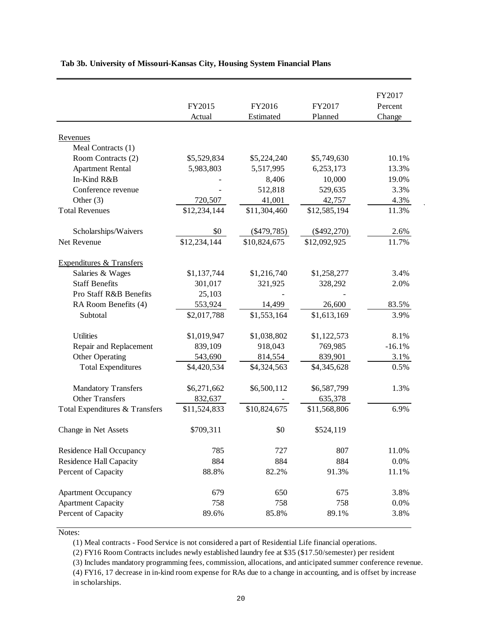|                                     | FY2015<br>Actual | FY2016<br>Estimated | FY2017<br>Planned | FY2017<br>Percent<br>Change |
|-------------------------------------|------------------|---------------------|-------------------|-----------------------------|
|                                     |                  |                     |                   |                             |
| Revenues<br>Meal Contracts (1)      |                  |                     |                   |                             |
| Room Contracts (2)                  | \$5,529,834      | \$5,224,240         | \$5,749,630       | 10.1%                       |
| <b>Apartment Rental</b>             | 5,983,803        | 5,517,995           | 6,253,173         | 13.3%                       |
| In-Kind R&B                         |                  | 8,406               | 10,000            | 19.0%                       |
| Conference revenue                  |                  | 512,818             | 529,635           | 3.3%                        |
| Other $(3)$                         | 720,507          | 41,001              | 42,757            | 4.3%                        |
| <b>Total Revenues</b>               | \$12,234,144     | \$11,304,460        | \$12,585,194      | 11.3%                       |
|                                     |                  |                     |                   |                             |
| Scholarships/Waivers                | \$0              | $(\$479,785)$       | $(\$492,270)$     | 2.6%                        |
| Net Revenue                         | \$12,234,144     | \$10,824,675        | \$12,092,925      | 11.7%                       |
|                                     |                  |                     |                   |                             |
| <b>Expenditures &amp; Transfers</b> |                  |                     |                   |                             |
| Salaries & Wages                    | \$1,137,744      | \$1,216,740         | \$1,258,277       | 3.4%                        |
| <b>Staff Benefits</b>               | 301,017          | 321,925             | 328,292           | 2.0%                        |
| Pro Staff R&B Benefits              | 25,103           |                     |                   |                             |
| RA Room Benefits (4)                | 553,924          | 14,499              | 26,600            | 83.5%                       |
| Subtotal                            | \$2,017,788      | \$1,553,164         | \$1,613,169       | 3.9%                        |
| <b>Utilities</b>                    | \$1,019,947      | \$1,038,802         | \$1,122,573       | 8.1%                        |
| Repair and Replacement              | 839,109          | 918,043             | 769,985           | $-16.1%$                    |
| Other Operating                     | 543,690          | 814,554             | 839,901           | 3.1%                        |
| <b>Total Expenditures</b>           | \$4,420,534      | \$4,324,563         | \$4,345,628       | 0.5%                        |
|                                     |                  |                     |                   |                             |
| <b>Mandatory Transfers</b>          | \$6,271,662      | \$6,500,112         | \$6,587,799       | 1.3%                        |
| <b>Other Transfers</b>              | 832,637          |                     | 635,378           |                             |
| Total Expenditures & Transfers      | \$11,524,833     | \$10,824,675        | \$11,568,806      | 6.9%                        |
| Change in Net Assets                | \$709,311        | \$0                 | \$524,119         |                             |
| Residence Hall Occupancy            | 785              | 727                 | 807               | 11.0%                       |
| <b>Residence Hall Capacity</b>      | 884              | 884                 | 884               | 0.0%                        |
| Percent of Capacity                 | 88.8%            | 82.2%               | 91.3%             | 11.1%                       |
| <b>Apartment Occupancy</b>          | 679              | 650                 | 675               | 3.8%                        |
| <b>Apartment Capacity</b>           | 758              | 758                 | 758               | 0.0%                        |
| Percent of Capacity                 | 89.6%            | 85.8%               | 89.1%             | 3.8%                        |
|                                     |                  |                     |                   |                             |

### **Tab 3b. University of Missouri-Kansas City, Housing System Financial Plans**

Notes:

(1) Meal contracts - Food Service is not considered a part of Residential Life financial operations.

(2) FY16 Room Contracts includes newly established laundry fee at \$35 (\$17.50/semester) per resident

(3) Includes mandatory programming fees, commission, allocations, and anticipated summer conference revenue. (4) FY16, 17 decrease in in-kind room expense for RAs due to a change in accounting, and is offset by increase in scholarships.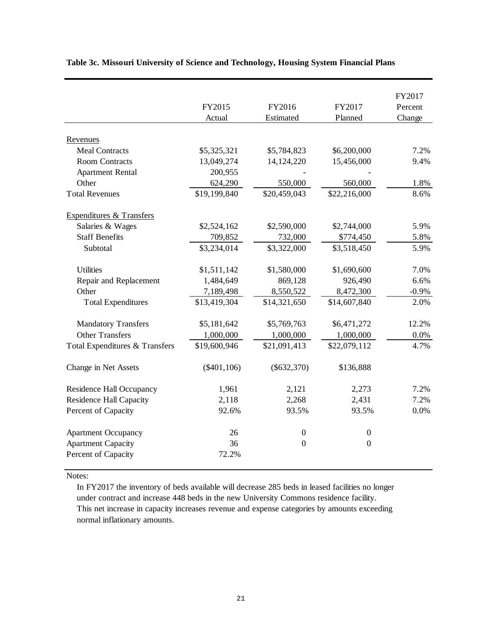|                                     |                |                  |                  | FY2017  |
|-------------------------------------|----------------|------------------|------------------|---------|
|                                     | FY2015         | FY2016           | FY2017           | Percent |
|                                     | Actual         | Estimated        | Planned          | Change  |
| Revenues                            |                |                  |                  |         |
| <b>Meal Contracts</b>               | \$5,325,321    | \$5,784,823      | \$6,200,000      | 7.2%    |
| <b>Room Contracts</b>               | 13,049,274     | 14,124,220       | 15,456,000       | 9.4%    |
| <b>Apartment Rental</b>             | 200,955        |                  |                  |         |
| Other                               | 624,290        | 550,000          | 560,000          | 1.8%    |
| <b>Total Revenues</b>               | \$19,199,840   | \$20,459,043     | \$22,216,000     | 8.6%    |
| <b>Expenditures &amp; Transfers</b> |                |                  |                  |         |
| Salaries & Wages                    | \$2,524,162    | \$2,590,000      | \$2,744,000      | 5.9%    |
| <b>Staff Benefits</b>               | 709,852        | 732,000          | \$774,450        | 5.8%    |
| Subtotal                            | \$3,234,014    | \$3,322,000      | \$3,518,450      | 5.9%    |
| <b>Utilities</b>                    | \$1,511,142    | \$1,580,000      | \$1,690,600      | 7.0%    |
| Repair and Replacement              | 1,484,649      | 869,128          | 926,490          | 6.6%    |
| Other                               | 7,189,498      | 8,550,522        | 8,472,300        | $-0.9%$ |
| <b>Total Expenditures</b>           | \$13,419,304   | \$14,321,650     | \$14,607,840     | 2.0%    |
| <b>Mandatory Transfers</b>          | \$5,181,642    | \$5,769,763      | \$6,471,272      | 12.2%   |
| <b>Other Transfers</b>              | 1,000,000      | 1,000,000        | 1,000,000        | 0.0%    |
| Total Expenditures & Transfers      | \$19,600,946   | \$21,091,413     | \$22,079,112     | 4.7%    |
| Change in Net Assets                | $(\$401, 106)$ | $(\$632,370)$    | \$136,888        |         |
| <b>Residence Hall Occupancy</b>     | 1,961          | 2,121            | 2,273            | 7.2%    |
| <b>Residence Hall Capacity</b>      | 2,118          | 2,268            | 2,431            | 7.2%    |
| Percent of Capacity                 | 92.6%          | 93.5%            | 93.5%            | 0.0%    |
| <b>Apartment Occupancy</b>          | 26             | $\boldsymbol{0}$ | $\boldsymbol{0}$ |         |
| <b>Apartment Capacity</b>           | 36             | $\overline{0}$   | $\boldsymbol{0}$ |         |
| Percent of Capacity                 | 72.2%          |                  |                  |         |

## **Table 3c. Missouri University of Science and Technology, Housing System Financial Plans**

Notes:

In FY2017 the inventory of beds available will decrease 285 beds in leased facilities no longer under contract and increase 448 beds in the new University Commons residence facility. This net increase in capacity increases revenue and expense categories by amounts exceeding normal inflationary amounts.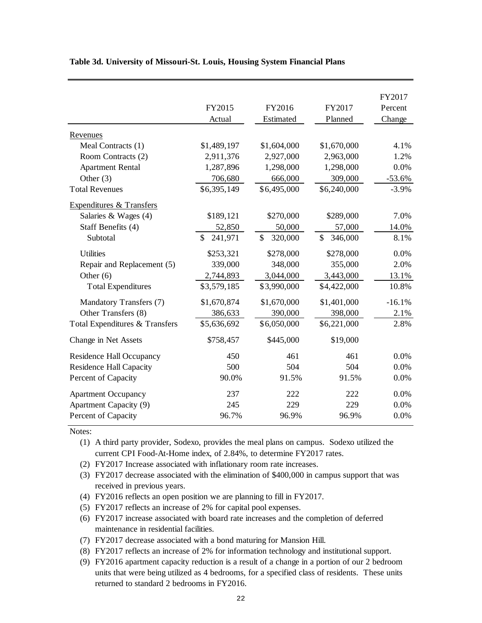|                                     |                         |                         |               | FY2017   |
|-------------------------------------|-------------------------|-------------------------|---------------|----------|
|                                     | FY2015                  | FY2016                  | FY2017        | Percent  |
|                                     | Actual                  | Estimated               | Planned       | Change   |
| Revenues                            |                         |                         |               |          |
| Meal Contracts (1)                  | \$1,489,197             | \$1,604,000             | \$1,670,000   | 4.1%     |
| Room Contracts (2)                  | 2,911,376               | 2,927,000               | 2,963,000     | 1.2%     |
| <b>Apartment Rental</b>             | 1,287,896               | 1,298,000               | 1,298,000     | 0.0%     |
| Other $(3)$                         | 706,680                 | 666,000                 | 309,000       | $-53.6%$ |
| <b>Total Revenues</b>               | \$6,395,149             | \$6,495,000             | \$6,240,000   | $-3.9%$  |
| <b>Expenditures &amp; Transfers</b> |                         |                         |               |          |
| Salaries & Wages $(4)$              | \$189,121               | \$270,000               | \$289,000     | 7.0%     |
| Staff Benefits (4)                  | 52,850                  | 50,000                  | 57,000        | 14.0%    |
| Subtotal                            | $\mathbb{S}$<br>241,971 | $\mathbb{S}$<br>320,000 | \$<br>346,000 | 8.1%     |
| <b>Utilities</b>                    | \$253,321               | \$278,000               | \$278,000     | 0.0%     |
| Repair and Replacement (5)          | 339,000                 | 348,000                 | 355,000       | 2.0%     |
| Other $(6)$                         | 2,744,893               | 3,044,000               | 3,443,000     | 13.1%    |
| <b>Total Expenditures</b>           | \$3,579,185             | \$3,990,000             | \$4,422,000   | 10.8%    |
| Mandatory Transfers (7)             | \$1,670,874             | \$1,670,000             | \$1,401,000   | $-16.1%$ |
| Other Transfers (8)                 | 386,633                 | 390,000                 | 398,000       | 2.1%     |
| Total Expenditures & Transfers      | \$5,636,692             | \$6,050,000             | \$6,221,000   | 2.8%     |
| Change in Net Assets                | \$758,457               | \$445,000               | \$19,000      |          |
| <b>Residence Hall Occupancy</b>     | 450                     | 461                     | 461           | 0.0%     |
| <b>Residence Hall Capacity</b>      | 500                     | 504                     | 504           | 0.0%     |
| Percent of Capacity                 | 90.0%                   | 91.5%                   | 91.5%         | 0.0%     |
| <b>Apartment Occupancy</b>          | 237                     | 222                     | 222           | 0.0%     |
| <b>Apartment Capacity (9)</b>       | 245                     | 229                     | 229           | 0.0%     |
| Percent of Capacity                 | 96.7%                   | 96.9%                   | 96.9%         | 0.0%     |

### **Table 3d. University of Missouri-St. Louis, Housing System Financial Plans**

Notes:

(1) A third party provider, Sodexo, provides the meal plans on campus. Sodexo utilized the current CPI Food-At-Home index, of 2.84%, to determine FY2017 rates.

(2) FY2017 Increase associated with inflationary room rate increases.

(3) FY2017 decrease associated with the elimination of \$400,000 in campus support that was received in previous years.

- (4) FY2016 reflects an open position we are planning to fill in FY2017.
- (5) FY2017 reflects an increase of 2% for capital pool expenses.

(6) FY2017 increase associated with board rate increases and the completion of deferred maintenance in residential facilities.

(7) FY2017 decrease associated with a bond maturing for Mansion Hill.

(8) FY2017 reflects an increase of 2% for information technology and institutional support.

(9) FY2016 apartment capacity reduction is a result of a change in a portion of our 2 bedroom units that were being utilized as 4 bedrooms, for a specified class of residents. These units returned to standard 2 bedrooms in FY2016.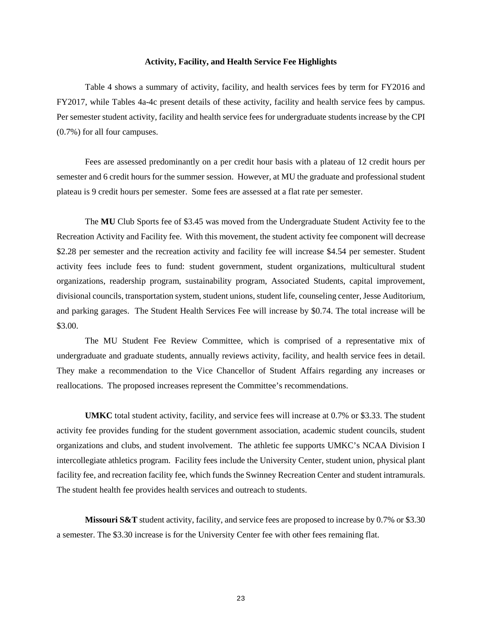#### **Activity, Facility, and Health Service Fee Highlights**

Table 4 shows a summary of activity, facility, and health services fees by term for FY2016 and FY2017, while Tables 4a-4c present details of these activity, facility and health service fees by campus. Per semester student activity, facility and health service fees for undergraduate students increase by the CPI (0.7%) for all four campuses.

Fees are assessed predominantly on a per credit hour basis with a plateau of 12 credit hours per semester and 6 credit hours for the summer session. However, at MU the graduate and professional student plateau is 9 credit hours per semester. Some fees are assessed at a flat rate per semester.

The **MU** Club Sports fee of \$3.45 was moved from the Undergraduate Student Activity fee to the Recreation Activity and Facility fee. With this movement, the student activity fee component will decrease \$2.28 per semester and the recreation activity and facility fee will increase \$4.54 per semester. Student activity fees include fees to fund: student government, student organizations, multicultural student organizations, readership program, sustainability program, Associated Students, capital improvement, divisional councils, transportation system, student unions, student life, counseling center, Jesse Auditorium, and parking garages. The Student Health Services Fee will increase by \$0.74. The total increase will be \$3.00.

The MU Student Fee Review Committee, which is comprised of a representative mix of undergraduate and graduate students, annually reviews activity, facility, and health service fees in detail. They make a recommendation to the Vice Chancellor of Student Affairs regarding any increases or reallocations. The proposed increases represent the Committee's recommendations.

**UMKC** total student activity, facility, and service fees will increase at 0.7% or \$3.33. The student activity fee provides funding for the student government association, academic student councils, student organizations and clubs, and student involvement. The athletic fee supports UMKC's NCAA Division I intercollegiate athletics program. Facility fees include the University Center, student union, physical plant facility fee, and recreation facility fee, which funds the Swinney Recreation Center and student intramurals. The student health fee provides health services and outreach to students.

**Missouri S&T** student activity, facility, and service fees are proposed to increase by 0.7% or \$3.30 a semester. The \$3.30 increase is for the University Center fee with other fees remaining flat.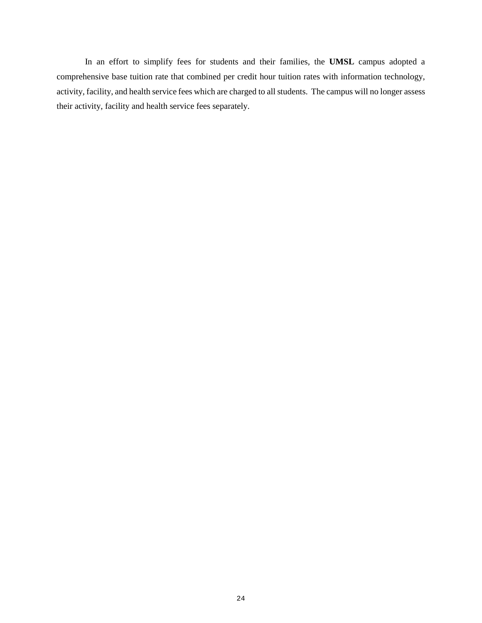In an effort to simplify fees for students and their families, the **UMSL** campus adopted a comprehensive base tuition rate that combined per credit hour tuition rates with information technology, activity, facility, and health service fees which are charged to all students. The campus will no longer assess their activity, facility and health service fees separately.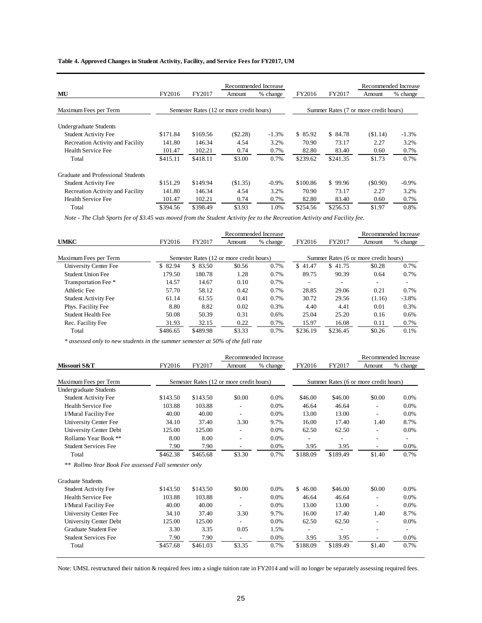**Table 4. Approved Changes in Student Activity, Facility, and Service Fees for FY2017, UM**

| Recommended Increase                    |          |                                          |          |          | Recommended Increase |          |                                       |          |
|-----------------------------------------|----------|------------------------------------------|----------|----------|----------------------|----------|---------------------------------------|----------|
| MU                                      | FY2016   | FY2017                                   | Amount   | % change | FY2016               | FY2017   | Amount                                | % change |
| Maximum Fees per Term                   |          | Semester Rates (12 or more credit hours) |          |          |                      |          | Summer Rates (7 or more credit hours) |          |
| Undergraduate Students                  |          |                                          |          |          |                      |          |                                       |          |
| <b>Student Activity Fee</b>             | \$171.84 | \$169.56                                 | (\$2.28) | $-1.3%$  | \$85.92              | \$ 84.78 | (S1.14)                               | $-1.3%$  |
| Recreation Activity and Facility        | 141.80   | 146.34                                   | 4.54     | 3.2%     | 70.90                | 73.17    | 2.27                                  | 3.2%     |
| Health Service Fee                      | 101.47   | 102.21                                   | 0.74     | 0.7%     | 82.80                | 83.40    | 0.60                                  | 0.7%     |
| Total                                   | \$415.11 | \$418.11                                 | \$3.00   | 0.7%     | \$239.62             | \$241.35 | \$1.73                                | 0.7%     |
| Graduate and Professional Students      |          |                                          |          |          |                      |          |                                       |          |
| <b>Student Activity Fee</b>             | \$151.29 | \$149.94                                 | (S1.35)  | $-0.9\%$ | \$100.86             | \$99.96  | $($ \$0.90)                           | $-0.9\%$ |
| <b>Recreation Activity and Facility</b> | 141.80   | 146.34                                   | 4.54     | 3.2%     | 70.90                | 73.17    | 2.27                                  | 3.2%     |
| <b>Health Service Fee</b>               | 101.47   | 102.21                                   | 0.74     | 0.7%     | 82.80                | 83.40    | 0.60                                  | 0.7%     |
| Total                                   | \$394.56 | \$398.49                                 | \$3.93   | 1.0%     | \$254.56             | \$256.53 | \$1.97                                | 0.8%     |

*Note - The Club Sports fee of \$3.45 was moved from the Student Activity fee to the Recreation Activity and Facility fee.*

|                             |          |                                          |        | Recommended Increase |                          |          |                                       | Recommended Increase |
|-----------------------------|----------|------------------------------------------|--------|----------------------|--------------------------|----------|---------------------------------------|----------------------|
| <b>UMKC</b>                 | FY2016   | FY2017                                   | Amount | % change             | FY2016                   | FY2017   | Amount                                | % change             |
| Maximum Fees per Term       |          | Semester Rates (12 or more credit hours) |        |                      |                          |          | Summer Rates (6 or more credit hours) |                      |
| University Center Fee       | \$82.94  | \$ 83.50                                 | \$0.56 | 0.7%                 | \$41.47                  | \$41.75  | \$0.28                                | 0.7%                 |
| Student Union Fee           | 179.50   | 180.78                                   | 1.28   | 0.7%                 | 89.75                    | 90.39    | 0.64                                  | 0.7%                 |
| Transportation Fee *        | 14.57    | 14.67                                    | 0.10   | 0.7%                 | $\overline{\phantom{a}}$ |          | -                                     | ۰.                   |
| Athletic Fee                | 57.70    | 58.12                                    | 0.42   | 0.7%                 | 28.85                    | 29.06    | 0.21                                  | 0.7%                 |
| <b>Student Activity Fee</b> | 61.14    | 61.55                                    | 0.41   | 0.7%                 | 30.72                    | 29.56    | (1.16)                                | $-3.8%$              |
| Phys. Facility Fee          | 8.80     | 8.82                                     | 0.02   | 0.3%                 | 4.40                     | 4.41     | 0.01                                  | 0.3%                 |
| Student Health Fee          | 50.08    | 50.39                                    | 0.31   | 0.6%                 | 25.04                    | 25.20    | 0.16                                  | 0.6%                 |
| Rec. Facility Fee           | 31.93    | 32.15                                    | 0.22   | 0.7%                 | 15.97                    | 16.08    | 0.11                                  | 0.7%                 |
| Total                       | \$486.65 | \$489.98                                 | \$3.33 | 0.7%                 | \$236.19                 | \$236.45 | \$0.26                                | 0.1%                 |

*\* assessed only to new students in the summer semester at 50% of the fall rate*

|                                                     |          |                                          |                          | Recommended Increase |          |                                       |                          | Recommended Increase     |
|-----------------------------------------------------|----------|------------------------------------------|--------------------------|----------------------|----------|---------------------------------------|--------------------------|--------------------------|
| Missouri S&T                                        | FY2016   | FY2017                                   | Amount                   | % change             | FY2016   | FY2017                                | Amount                   | % change                 |
| Maximum Fees per Term                               |          | Semester Rates (12 or more credit hours) |                          |                      |          | Summer Rates (6 or more credit hours) |                          |                          |
| Undergraduate Students                              |          |                                          |                          |                      |          |                                       |                          |                          |
| <b>Student Activity Fee</b>                         | \$143.50 | \$143.50                                 | \$0.00                   | $0.0\%$              | \$46.00  | \$46.00                               | \$0.00                   | 0.0%                     |
| Health Service Fee                                  | 103.88   | 103.88                                   |                          | $0.0\%$              | 46.64    | 46.64                                 |                          | 0.0%                     |
| I/Mural Facility Fee                                | 40.00    | 40.00                                    | $\overline{\phantom{a}}$ | $0.0\%$              | 13.00    | 13.00                                 | $\overline{\phantom{a}}$ | 0.0%                     |
| University Center Fee                               | 34.10    | 37.40                                    | 3.30                     | 9.7%                 | 16.00    | 17.40                                 | 1.40                     | 8.7%                     |
| University Center Debt                              | 125.00   | 125.00                                   | $\overline{\phantom{a}}$ | 0.0%                 | 62.50    | 62.50                                 | $\overline{\phantom{a}}$ | 0.0%                     |
| Rollamo Year Book **                                | 8.00     | 8.00                                     |                          | 0.0%                 |          |                                       |                          | $\overline{\phantom{a}}$ |
| <b>Student Services Fee</b>                         | 7.90     | 7.90                                     | $\overline{a}$           | 0.0%                 | 3.95     | 3.95                                  | ÷,                       | 0.0%                     |
| Total                                               | \$462.38 | \$465.68                                 | \$3.30                   | 0.7%                 | \$188.09 | \$189.49                              | \$1.40                   | 0.7%                     |
| ** Rollmo Year Book Fee assessed Fall semester only |          |                                          |                          |                      |          |                                       |                          |                          |
| <b>Graduate Students</b>                            |          |                                          |                          |                      |          |                                       |                          |                          |
| <b>Student Activity Fee</b>                         | \$143.50 | \$143.50                                 | \$0.00                   | 0.0%                 | \$46.00  | \$46.00                               | \$0.00                   | 0.0%                     |
| Health Service Fee                                  | 103.88   | 103.88                                   |                          | $0.0\%$              | 46.64    | 46.64                                 |                          | 0.0%                     |
| I/Mural Facility Fee                                | 40.00    | 40.00                                    | $\overline{a}$           | $0.0\%$              | 13.00    | 13.00                                 | ÷,                       | 0.0%                     |
| University Center Fee                               | 34.10    | 37.40                                    | 3.30                     | 9.7%                 | 16.00    | 17.40                                 | 1.40                     | 8.7%                     |
| University Center Debt                              | 125.00   | 125.00                                   |                          | 0.0%                 | 62.50    | 62.50                                 |                          | 0.0%                     |
| <b>Graduate Student Fee</b>                         | 3.30     | 3.35                                     | 0.05                     | 1.5%                 |          |                                       |                          |                          |
| <b>Student Services Fee</b>                         | 7.90     | 7.90                                     |                          | $0.0\%$              | 3.95     | 3.95                                  |                          | $0.0\%$                  |
| Total                                               | \$457.68 | \$461.03                                 | \$3.35                   | 0.7%                 | \$188.09 | \$189.49                              | \$1.40                   | 0.7%                     |

Note: UMSL restructured their tuition & required fees into a single tuition rate in FY2014 and will no longer be separately assessing required fees.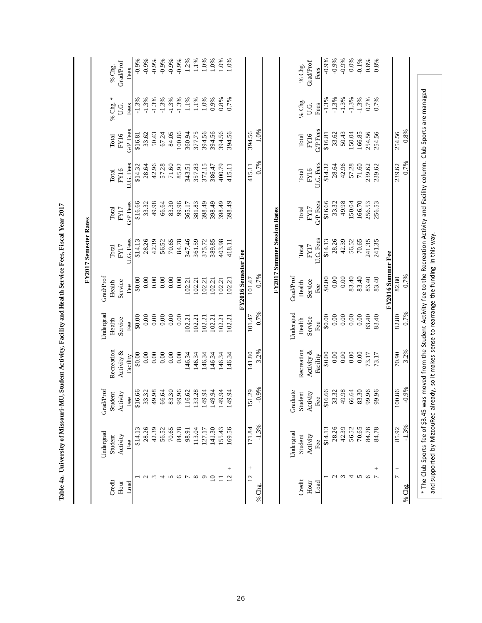| % Chg. *<br>$-1.3%$<br>$-1.3%$<br>$-1.3%$<br>$-1.3%$<br>$-1.3%$<br>$-1.3%$<br>$-1.3%$<br>$-1.3%$<br>$1.1\%$<br>$-1.3%$<br>0.7%<br>$-1.3%$<br>1.1%<br>1.0%<br>0.9%<br>0.8%<br>$-1.3%$<br>0.7%<br>0.7%<br>% Chg.<br>U.G.<br>Fees<br>Fees<br>U.G.<br>G/P Fees<br>G/P Fees<br>1.0%<br>394.56<br>254.56<br>394.56<br>394.56<br>394.56<br>394.56<br>166.85<br>254.56<br>50.43<br>100.86<br>377.75<br>33.62<br>50.43<br>150.04<br>254.56<br>67.24<br>84.05<br>360.94<br>33.62<br>\$16.81<br>\$16.81<br>FY16<br>FY16<br>Total<br>Total<br>0.7%<br>U.G. Fees<br>U.G. Fees<br>42.96<br>71.60<br>42.96<br>71.60<br>400.79<br>415.11<br>28.64<br>57.28<br>239.62<br>\$14.32<br>28.64<br>57.28<br>85.92<br>357.83<br>372.15<br>\$14.32<br>239.62<br>239.62<br>343.51<br>386.47<br>415.11<br>FY16<br>FY16<br>Total<br>Total<br>49.98<br>166.70<br>49.98<br>66.64<br>83.30<br>150.04<br>\$16.66<br>33.32<br>99.96<br>381.83<br>398.49<br>398.49<br>398.49<br>398.49<br>G/P Fees<br>\$16.66<br>33.32<br>256.53<br>256.53<br><b>GP</b> Fees<br>365.17<br>FY17<br>Total<br>FY17<br>Total<br>FY2017 Summer Session Rates<br>U.G. Fees<br>U.G. Fees<br>28.26<br>28.26<br>42.39<br>42.39<br>70.65<br>84.78<br>347.46<br>\$14.13<br>56.52<br>70.65<br>241.35<br>\$14.13<br>56.52<br>361.59<br>375.72<br>389.85<br>241.35<br>403.98<br>418.11<br>FY17<br>Total<br>FY17<br>Total<br>FY2016 Semester Fee<br>FY2016 Summer Fee<br>0.7%<br>GradProf<br>Grad/Prof<br>82.80<br>$0.00$<br>83.40<br>0.00<br>0.00<br>0.00<br>0.00<br>0.00<br>0.00<br>83.40<br>83.40<br>0.00<br>101.47<br>83.40<br>102.21<br>\$0.00<br>102.21<br>102.21<br>102.21<br>102.21<br>102.21<br>Service<br>Health<br>Service<br>Health<br>Fee<br>Fee<br>0.7%<br>Undergrad<br>Undergrad<br>0.00<br>\$0.00<br>0.00<br>0.00<br>0.00<br>0.00<br>83.40<br>82.80<br>0.00<br>0.00<br>0.00<br>0.00<br>101.47<br>83.40<br>\$0.00<br>102.21<br>102.21<br>102.21<br>102.21<br>102.21<br>102.21<br>Service<br>Service<br>Health<br>Health<br>Fee<br>Fee<br>3.2%<br>Recreation<br>Recreation<br>Activity &<br>Activity &<br>141.80<br>0.00<br>70.90<br>0.00<br>0.00<br>0.00<br>0.00<br>\$0.00<br>0.00<br>0.00<br>\$0.00<br>0.00<br>0.00<br>146.34<br>146.34<br>146.34<br>146.34<br>146.34<br>Facility<br>73.17<br>73.17<br>146.34<br>Facility<br>$-0.9%$<br>GradProf<br>151.29<br>83.30<br>49.98<br>66.64<br>83.30<br>\$16.66<br>49.98<br>66.64<br>99.96<br>100.86<br>\$16.66<br>99.96<br>133.28<br>149.94<br>149.94<br>149.94<br>33.32<br>33.32<br>116.62<br>149.94<br>Graduate<br>99.96<br>Student<br>Activity<br>Activity<br>Student<br>Fee<br>Fee<br>$-1.3%$<br>42.39<br>28.26<br>42.39<br>70.65<br>\$14.13<br>28.26<br>56.52<br>70.65<br>85.92<br>\$14.13<br>56.52<br>84.78<br>141.30<br>155.43<br>169.56<br>171.84<br>84.78<br>113.04<br>84.78<br>98.91<br>127.17<br>Undergrad<br>Undergrad<br>Activity<br>Student<br>Activity<br>Student<br>Fee<br>Fee<br>$\! + \!\!\!\!$<br>$^{+}$<br>$^{+}$<br>$^{+}$<br>$\overline{a}$<br>$\overline{c}$<br>$\omega$ 4<br>$\sigma$ $\sigma$<br>$\circ$<br>ç<br>$\overline{10}$<br>12<br>$\mathcal{L}$<br>$\mathbf{c}$<br>$\epsilon$<br>4<br>$\sim$<br>${}^{\circ}$<br>$\Box$<br>Credit<br>Credit<br>Hour<br>Hour<br>Load<br>Load<br>% Chg. |              |      |                                                                                                                 |
|-----------------------------------------------------------------------------------------------------------------------------------------------------------------------------------------------------------------------------------------------------------------------------------------------------------------------------------------------------------------------------------------------------------------------------------------------------------------------------------------------------------------------------------------------------------------------------------------------------------------------------------------------------------------------------------------------------------------------------------------------------------------------------------------------------------------------------------------------------------------------------------------------------------------------------------------------------------------------------------------------------------------------------------------------------------------------------------------------------------------------------------------------------------------------------------------------------------------------------------------------------------------------------------------------------------------------------------------------------------------------------------------------------------------------------------------------------------------------------------------------------------------------------------------------------------------------------------------------------------------------------------------------------------------------------------------------------------------------------------------------------------------------------------------------------------------------------------------------------------------------------------------------------------------------------------------------------------------------------------------------------------------------------------------------------------------------------------------------------------------------------------------------------------------------------------------------------------------------------------------------------------------------------------------------------------------------------------------------------------------------------------------------------------------------------------------------------------------------------------------------------------------------------------------------------------------------------------------------------------------------------------------------------------------------------------------------------------------------------------------------------------------------------------------------------------------------------------------------------------------------------------------------------------------------------------------------------------------------------------------------------------------------------------------------------------------------------------------------------------------------------------------------------------------------------------------------------------------|--------------|------|-----------------------------------------------------------------------------------------------------------------|
|                                                                                                                                                                                                                                                                                                                                                                                                                                                                                                                                                                                                                                                                                                                                                                                                                                                                                                                                                                                                                                                                                                                                                                                                                                                                                                                                                                                                                                                                                                                                                                                                                                                                                                                                                                                                                                                                                                                                                                                                                                                                                                                                                                                                                                                                                                                                                                                                                                                                                                                                                                                                                                                                                                                                                                                                                                                                                                                                                                                                                                                                                                                                                                                                                 |              |      | % Chg.                                                                                                          |
|                                                                                                                                                                                                                                                                                                                                                                                                                                                                                                                                                                                                                                                                                                                                                                                                                                                                                                                                                                                                                                                                                                                                                                                                                                                                                                                                                                                                                                                                                                                                                                                                                                                                                                                                                                                                                                                                                                                                                                                                                                                                                                                                                                                                                                                                                                                                                                                                                                                                                                                                                                                                                                                                                                                                                                                                                                                                                                                                                                                                                                                                                                                                                                                                                 |              |      | <b>Grad</b> Prof                                                                                                |
|                                                                                                                                                                                                                                                                                                                                                                                                                                                                                                                                                                                                                                                                                                                                                                                                                                                                                                                                                                                                                                                                                                                                                                                                                                                                                                                                                                                                                                                                                                                                                                                                                                                                                                                                                                                                                                                                                                                                                                                                                                                                                                                                                                                                                                                                                                                                                                                                                                                                                                                                                                                                                                                                                                                                                                                                                                                                                                                                                                                                                                                                                                                                                                                                                 |              |      | $-0.9%$<br>Fees                                                                                                 |
|                                                                                                                                                                                                                                                                                                                                                                                                                                                                                                                                                                                                                                                                                                                                                                                                                                                                                                                                                                                                                                                                                                                                                                                                                                                                                                                                                                                                                                                                                                                                                                                                                                                                                                                                                                                                                                                                                                                                                                                                                                                                                                                                                                                                                                                                                                                                                                                                                                                                                                                                                                                                                                                                                                                                                                                                                                                                                                                                                                                                                                                                                                                                                                                                                 |              |      | $-0.9%$                                                                                                         |
|                                                                                                                                                                                                                                                                                                                                                                                                                                                                                                                                                                                                                                                                                                                                                                                                                                                                                                                                                                                                                                                                                                                                                                                                                                                                                                                                                                                                                                                                                                                                                                                                                                                                                                                                                                                                                                                                                                                                                                                                                                                                                                                                                                                                                                                                                                                                                                                                                                                                                                                                                                                                                                                                                                                                                                                                                                                                                                                                                                                                                                                                                                                                                                                                                 |              |      | $-0.9%$                                                                                                         |
|                                                                                                                                                                                                                                                                                                                                                                                                                                                                                                                                                                                                                                                                                                                                                                                                                                                                                                                                                                                                                                                                                                                                                                                                                                                                                                                                                                                                                                                                                                                                                                                                                                                                                                                                                                                                                                                                                                                                                                                                                                                                                                                                                                                                                                                                                                                                                                                                                                                                                                                                                                                                                                                                                                                                                                                                                                                                                                                                                                                                                                                                                                                                                                                                                 |              |      | $-0.9%$                                                                                                         |
|                                                                                                                                                                                                                                                                                                                                                                                                                                                                                                                                                                                                                                                                                                                                                                                                                                                                                                                                                                                                                                                                                                                                                                                                                                                                                                                                                                                                                                                                                                                                                                                                                                                                                                                                                                                                                                                                                                                                                                                                                                                                                                                                                                                                                                                                                                                                                                                                                                                                                                                                                                                                                                                                                                                                                                                                                                                                                                                                                                                                                                                                                                                                                                                                                 |              |      | $-0.9%$                                                                                                         |
|                                                                                                                                                                                                                                                                                                                                                                                                                                                                                                                                                                                                                                                                                                                                                                                                                                                                                                                                                                                                                                                                                                                                                                                                                                                                                                                                                                                                                                                                                                                                                                                                                                                                                                                                                                                                                                                                                                                                                                                                                                                                                                                                                                                                                                                                                                                                                                                                                                                                                                                                                                                                                                                                                                                                                                                                                                                                                                                                                                                                                                                                                                                                                                                                                 |              |      | $-0.9%$                                                                                                         |
|                                                                                                                                                                                                                                                                                                                                                                                                                                                                                                                                                                                                                                                                                                                                                                                                                                                                                                                                                                                                                                                                                                                                                                                                                                                                                                                                                                                                                                                                                                                                                                                                                                                                                                                                                                                                                                                                                                                                                                                                                                                                                                                                                                                                                                                                                                                                                                                                                                                                                                                                                                                                                                                                                                                                                                                                                                                                                                                                                                                                                                                                                                                                                                                                                 |              |      | 1.2%                                                                                                            |
|                                                                                                                                                                                                                                                                                                                                                                                                                                                                                                                                                                                                                                                                                                                                                                                                                                                                                                                                                                                                                                                                                                                                                                                                                                                                                                                                                                                                                                                                                                                                                                                                                                                                                                                                                                                                                                                                                                                                                                                                                                                                                                                                                                                                                                                                                                                                                                                                                                                                                                                                                                                                                                                                                                                                                                                                                                                                                                                                                                                                                                                                                                                                                                                                                 |              |      | 1.1%                                                                                                            |
|                                                                                                                                                                                                                                                                                                                                                                                                                                                                                                                                                                                                                                                                                                                                                                                                                                                                                                                                                                                                                                                                                                                                                                                                                                                                                                                                                                                                                                                                                                                                                                                                                                                                                                                                                                                                                                                                                                                                                                                                                                                                                                                                                                                                                                                                                                                                                                                                                                                                                                                                                                                                                                                                                                                                                                                                                                                                                                                                                                                                                                                                                                                                                                                                                 |              |      | 1.0%                                                                                                            |
|                                                                                                                                                                                                                                                                                                                                                                                                                                                                                                                                                                                                                                                                                                                                                                                                                                                                                                                                                                                                                                                                                                                                                                                                                                                                                                                                                                                                                                                                                                                                                                                                                                                                                                                                                                                                                                                                                                                                                                                                                                                                                                                                                                                                                                                                                                                                                                                                                                                                                                                                                                                                                                                                                                                                                                                                                                                                                                                                                                                                                                                                                                                                                                                                                 |              |      | 1.0%                                                                                                            |
|                                                                                                                                                                                                                                                                                                                                                                                                                                                                                                                                                                                                                                                                                                                                                                                                                                                                                                                                                                                                                                                                                                                                                                                                                                                                                                                                                                                                                                                                                                                                                                                                                                                                                                                                                                                                                                                                                                                                                                                                                                                                                                                                                                                                                                                                                                                                                                                                                                                                                                                                                                                                                                                                                                                                                                                                                                                                                                                                                                                                                                                                                                                                                                                                                 |              |      | $0.0\%$                                                                                                         |
|                                                                                                                                                                                                                                                                                                                                                                                                                                                                                                                                                                                                                                                                                                                                                                                                                                                                                                                                                                                                                                                                                                                                                                                                                                                                                                                                                                                                                                                                                                                                                                                                                                                                                                                                                                                                                                                                                                                                                                                                                                                                                                                                                                                                                                                                                                                                                                                                                                                                                                                                                                                                                                                                                                                                                                                                                                                                                                                                                                                                                                                                                                                                                                                                                 |              |      | $0\%$                                                                                                           |
|                                                                                                                                                                                                                                                                                                                                                                                                                                                                                                                                                                                                                                                                                                                                                                                                                                                                                                                                                                                                                                                                                                                                                                                                                                                                                                                                                                                                                                                                                                                                                                                                                                                                                                                                                                                                                                                                                                                                                                                                                                                                                                                                                                                                                                                                                                                                                                                                                                                                                                                                                                                                                                                                                                                                                                                                                                                                                                                                                                                                                                                                                                                                                                                                                 |              |      |                                                                                                                 |
|                                                                                                                                                                                                                                                                                                                                                                                                                                                                                                                                                                                                                                                                                                                                                                                                                                                                                                                                                                                                                                                                                                                                                                                                                                                                                                                                                                                                                                                                                                                                                                                                                                                                                                                                                                                                                                                                                                                                                                                                                                                                                                                                                                                                                                                                                                                                                                                                                                                                                                                                                                                                                                                                                                                                                                                                                                                                                                                                                                                                                                                                                                                                                                                                                 |              |      |                                                                                                                 |
|                                                                                                                                                                                                                                                                                                                                                                                                                                                                                                                                                                                                                                                                                                                                                                                                                                                                                                                                                                                                                                                                                                                                                                                                                                                                                                                                                                                                                                                                                                                                                                                                                                                                                                                                                                                                                                                                                                                                                                                                                                                                                                                                                                                                                                                                                                                                                                                                                                                                                                                                                                                                                                                                                                                                                                                                                                                                                                                                                                                                                                                                                                                                                                                                                 |              |      |                                                                                                                 |
|                                                                                                                                                                                                                                                                                                                                                                                                                                                                                                                                                                                                                                                                                                                                                                                                                                                                                                                                                                                                                                                                                                                                                                                                                                                                                                                                                                                                                                                                                                                                                                                                                                                                                                                                                                                                                                                                                                                                                                                                                                                                                                                                                                                                                                                                                                                                                                                                                                                                                                                                                                                                                                                                                                                                                                                                                                                                                                                                                                                                                                                                                                                                                                                                                 |              |      |                                                                                                                 |
|                                                                                                                                                                                                                                                                                                                                                                                                                                                                                                                                                                                                                                                                                                                                                                                                                                                                                                                                                                                                                                                                                                                                                                                                                                                                                                                                                                                                                                                                                                                                                                                                                                                                                                                                                                                                                                                                                                                                                                                                                                                                                                                                                                                                                                                                                                                                                                                                                                                                                                                                                                                                                                                                                                                                                                                                                                                                                                                                                                                                                                                                                                                                                                                                                 |              |      |                                                                                                                 |
|                                                                                                                                                                                                                                                                                                                                                                                                                                                                                                                                                                                                                                                                                                                                                                                                                                                                                                                                                                                                                                                                                                                                                                                                                                                                                                                                                                                                                                                                                                                                                                                                                                                                                                                                                                                                                                                                                                                                                                                                                                                                                                                                                                                                                                                                                                                                                                                                                                                                                                                                                                                                                                                                                                                                                                                                                                                                                                                                                                                                                                                                                                                                                                                                                 |              |      | % Chg.                                                                                                          |
|                                                                                                                                                                                                                                                                                                                                                                                                                                                                                                                                                                                                                                                                                                                                                                                                                                                                                                                                                                                                                                                                                                                                                                                                                                                                                                                                                                                                                                                                                                                                                                                                                                                                                                                                                                                                                                                                                                                                                                                                                                                                                                                                                                                                                                                                                                                                                                                                                                                                                                                                                                                                                                                                                                                                                                                                                                                                                                                                                                                                                                                                                                                                                                                                                 |              |      | GradProf                                                                                                        |
|                                                                                                                                                                                                                                                                                                                                                                                                                                                                                                                                                                                                                                                                                                                                                                                                                                                                                                                                                                                                                                                                                                                                                                                                                                                                                                                                                                                                                                                                                                                                                                                                                                                                                                                                                                                                                                                                                                                                                                                                                                                                                                                                                                                                                                                                                                                                                                                                                                                                                                                                                                                                                                                                                                                                                                                                                                                                                                                                                                                                                                                                                                                                                                                                                 |              |      | Fees                                                                                                            |
|                                                                                                                                                                                                                                                                                                                                                                                                                                                                                                                                                                                                                                                                                                                                                                                                                                                                                                                                                                                                                                                                                                                                                                                                                                                                                                                                                                                                                                                                                                                                                                                                                                                                                                                                                                                                                                                                                                                                                                                                                                                                                                                                                                                                                                                                                                                                                                                                                                                                                                                                                                                                                                                                                                                                                                                                                                                                                                                                                                                                                                                                                                                                                                                                                 |              |      | $-0.9%$                                                                                                         |
|                                                                                                                                                                                                                                                                                                                                                                                                                                                                                                                                                                                                                                                                                                                                                                                                                                                                                                                                                                                                                                                                                                                                                                                                                                                                                                                                                                                                                                                                                                                                                                                                                                                                                                                                                                                                                                                                                                                                                                                                                                                                                                                                                                                                                                                                                                                                                                                                                                                                                                                                                                                                                                                                                                                                                                                                                                                                                                                                                                                                                                                                                                                                                                                                                 |              |      | $-0.9%$                                                                                                         |
|                                                                                                                                                                                                                                                                                                                                                                                                                                                                                                                                                                                                                                                                                                                                                                                                                                                                                                                                                                                                                                                                                                                                                                                                                                                                                                                                                                                                                                                                                                                                                                                                                                                                                                                                                                                                                                                                                                                                                                                                                                                                                                                                                                                                                                                                                                                                                                                                                                                                                                                                                                                                                                                                                                                                                                                                                                                                                                                                                                                                                                                                                                                                                                                                                 |              |      | $-0.9%$                                                                                                         |
|                                                                                                                                                                                                                                                                                                                                                                                                                                                                                                                                                                                                                                                                                                                                                                                                                                                                                                                                                                                                                                                                                                                                                                                                                                                                                                                                                                                                                                                                                                                                                                                                                                                                                                                                                                                                                                                                                                                                                                                                                                                                                                                                                                                                                                                                                                                                                                                                                                                                                                                                                                                                                                                                                                                                                                                                                                                                                                                                                                                                                                                                                                                                                                                                                 |              |      | 0.0%                                                                                                            |
|                                                                                                                                                                                                                                                                                                                                                                                                                                                                                                                                                                                                                                                                                                                                                                                                                                                                                                                                                                                                                                                                                                                                                                                                                                                                                                                                                                                                                                                                                                                                                                                                                                                                                                                                                                                                                                                                                                                                                                                                                                                                                                                                                                                                                                                                                                                                                                                                                                                                                                                                                                                                                                                                                                                                                                                                                                                                                                                                                                                                                                                                                                                                                                                                                 |              |      | $-0.1\%$                                                                                                        |
|                                                                                                                                                                                                                                                                                                                                                                                                                                                                                                                                                                                                                                                                                                                                                                                                                                                                                                                                                                                                                                                                                                                                                                                                                                                                                                                                                                                                                                                                                                                                                                                                                                                                                                                                                                                                                                                                                                                                                                                                                                                                                                                                                                                                                                                                                                                                                                                                                                                                                                                                                                                                                                                                                                                                                                                                                                                                                                                                                                                                                                                                                                                                                                                                                 |              |      | 0.8%                                                                                                            |
|                                                                                                                                                                                                                                                                                                                                                                                                                                                                                                                                                                                                                                                                                                                                                                                                                                                                                                                                                                                                                                                                                                                                                                                                                                                                                                                                                                                                                                                                                                                                                                                                                                                                                                                                                                                                                                                                                                                                                                                                                                                                                                                                                                                                                                                                                                                                                                                                                                                                                                                                                                                                                                                                                                                                                                                                                                                                                                                                                                                                                                                                                                                                                                                                                 |              |      | 0.8%                                                                                                            |
|                                                                                                                                                                                                                                                                                                                                                                                                                                                                                                                                                                                                                                                                                                                                                                                                                                                                                                                                                                                                                                                                                                                                                                                                                                                                                                                                                                                                                                                                                                                                                                                                                                                                                                                                                                                                                                                                                                                                                                                                                                                                                                                                                                                                                                                                                                                                                                                                                                                                                                                                                                                                                                                                                                                                                                                                                                                                                                                                                                                                                                                                                                                                                                                                                 |              |      |                                                                                                                 |
|                                                                                                                                                                                                                                                                                                                                                                                                                                                                                                                                                                                                                                                                                                                                                                                                                                                                                                                                                                                                                                                                                                                                                                                                                                                                                                                                                                                                                                                                                                                                                                                                                                                                                                                                                                                                                                                                                                                                                                                                                                                                                                                                                                                                                                                                                                                                                                                                                                                                                                                                                                                                                                                                                                                                                                                                                                                                                                                                                                                                                                                                                                                                                                                                                 |              |      |                                                                                                                 |
| 0.7%<br>3.2%<br>$-0.9%$<br>$-1.3%$<br>% Chg.                                                                                                                                                                                                                                                                                                                                                                                                                                                                                                                                                                                                                                                                                                                                                                                                                                                                                                                                                                                                                                                                                                                                                                                                                                                                                                                                                                                                                                                                                                                                                                                                                                                                                                                                                                                                                                                                                                                                                                                                                                                                                                                                                                                                                                                                                                                                                                                                                                                                                                                                                                                                                                                                                                                                                                                                                                                                                                                                                                                                                                                                                                                                                                    | 0.7%<br>0.7% | 0.8% |                                                                                                                 |
| and supported by MizzouRec already, so it makes sense to rearrange the funding in this way.<br>* The Club Sports fee of \$3.45                                                                                                                                                                                                                                                                                                                                                                                                                                                                                                                                                                                                                                                                                                                                                                                                                                                                                                                                                                                                                                                                                                                                                                                                                                                                                                                                                                                                                                                                                                                                                                                                                                                                                                                                                                                                                                                                                                                                                                                                                                                                                                                                                                                                                                                                                                                                                                                                                                                                                                                                                                                                                                                                                                                                                                                                                                                                                                                                                                                                                                                                                  |              |      | was moved from the Student Activity fee to the Recreation Activity and Facility column. Club Sports are managed |

Table 4a. University of Missouri-MU, Student Activity, Facility and Health Service Fees, Fiscal Year 2017  **Table 4a. University of Missouri-MU, Student Activity, Facility and Health Service Fees, Fiscal Year 2017**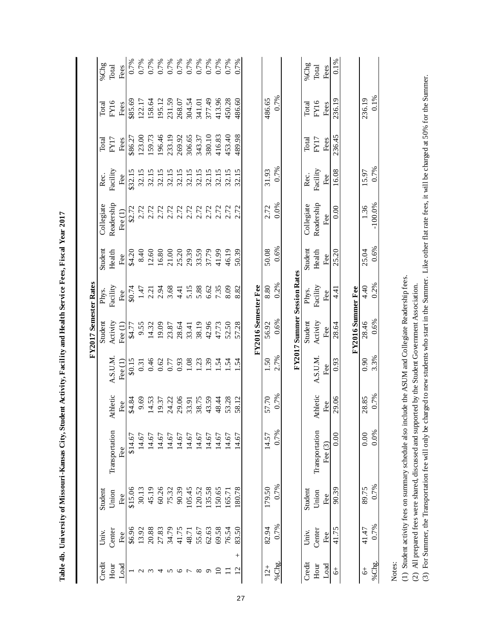|                   |                 |         |                                                                                                  |                                  |                  | FY2017 Semester Rates              |          |         |                         |          |         |         |                       |
|-------------------|-----------------|---------|--------------------------------------------------------------------------------------------------|----------------------------------|------------------|------------------------------------|----------|---------|-------------------------|----------|---------|---------|-----------------------|
| Credit            | Univ.           | Student |                                                                                                  |                                  |                  | Student                            | Phys.    | Student | Collegiate              | Rec.     | Total   | Total   | %Chg                  |
| Hour              | Center          | Union   | Transportation                                                                                   | Athletic                         | A.S.U.M.         | Activity                           | Facility | Health  | Readership              | Facility | FY17    | FY16    | Total                 |
| Load              | Fee             | Fee     | Fee                                                                                              | Fee                              | Fee $(1)$        | Fee $(1)$                          | Fee      | Fee     | Fee $(1)$               | Fee      | Fees    | Fees    | Fees                  |
|                   | \$6.96          | \$15.06 | \$14.67                                                                                          | \$4.84                           | \$0.15           | \$4.77                             | \$0.74   | \$4.20  | \$2.72                  | \$32.15  | \$86.27 | \$85.69 | 0.7%                  |
| $\mathbf{\Omega}$ | 13.92           | 30.13   | 14.67                                                                                            | 9.69                             | 0.31             | 9.55                               | 1.47     | 8.40    | 2.72                    | 32.15    | 123.00  | 122.17  | 0.7%                  |
| $\omega$          | 20.88           | 45.19   | 14.67                                                                                            | 4.53<br>9.37                     | 0.46             | 14.32                              | 2.21     | 12.60   | 2.72                    | 32.15    | 159.73  | 158.64  | 0.7%                  |
| 4                 | 27.83           | 60.26   | 14.67                                                                                            |                                  | 0.62             | 19.09                              | 2.94     | 16.80   |                         | 32.15    | 196.46  | 195.12  |                       |
| $\Omega$          | 34.79           | 75.32   | 14.67                                                                                            |                                  | 0.77             | 23.87                              | 3.68     | 21.00   | 2.72                    | 32.15    | 233.19  | 231.59  | $0.7%$<br>$0.7%$      |
| $\circ$           | 41.75           | 90.39   | 14.67                                                                                            |                                  | 0.93             | 28.64                              | 4.41     | 25.20   |                         | 32.15    | 269.92  | 268.07  | $\frac{0.7\%}{0.7\%}$ |
| $\overline{ }$    | 48.71           | 105.45  | 14.67                                                                                            | 24.22<br>29.06<br>33.91<br>38.75 | 1.08             | 33.41                              | 5.15     | 29.39   | 2.72<br>2.72.72<br>2.72 | 32.15    | 306.65  | 304.54  |                       |
| $\infty$          | 55.67           | 120.52  | 14.67                                                                                            |                                  | 1.23             | 38.19                              | 5.88     | 33.59   |                         | 32.15    | 343.37  | 341.01  |                       |
| $\sigma$          | 62.63           | 135.58  | 14.67                                                                                            | 43.59                            | $\overline{.39}$ | 42.96                              | 6.62     | 37.79   |                         | 32.15    | 380.10  | 377.49  | 0.7%<br>0.7%          |
| $\overline{10}$   | 69.58           | 150.65  | 14.67                                                                                            | 48.44                            | 1.54             | 47.73                              | 7.35     | 41.99   |                         | 32.15    | 416.83  | 413.96  | 0.7%                  |
| Ξ                 | 76.54           | 165.71  | 14.67                                                                                            |                                  | $\ddot{5}$       | 52.50                              | 8.09     | 46.19   | 2.72                    | 32.15    | 453.40  | 450.28  | 0.7%                  |
| 12                | 83.50<br>$^{+}$ | 180.78  | 14.67                                                                                            | 53.28<br>58.12                   | $\ddot{5}$       | 57.28                              | 8.82     | 50.39   | 2.72                    | 32.15    | 489.98  | 486.60  | 0.7%                  |
|                   |                 |         |                                                                                                  |                                  |                  |                                    |          |         |                         |          |         |         |                       |
|                   |                 |         |                                                                                                  |                                  |                  | FY2016 Semester Fee                |          |         |                         |          |         |         |                       |
| $12+$             | 82.94           | 179.50  | 14.57                                                                                            | 57.70                            | 1.50             | 56.92                              | 8.80     | 50.08   | 2.72                    | 31.93    |         | 486.65  |                       |
| %Chg.             | 0.7%            | 0.7%    | 0.7%                                                                                             | 0.7%                             | 2.7%             | 0.6%                               | 0.2%     | 0.6%    | 0.0%                    | 0.7%     |         | 0.7%    |                       |
|                   |                 |         |                                                                                                  |                                  |                  |                                    |          |         |                         |          |         |         |                       |
|                   |                 |         |                                                                                                  |                                  |                  | <b>FY2017 Summer Session Rates</b> |          |         |                         |          |         |         |                       |
| Credit            | Univ.           | Student |                                                                                                  |                                  |                  | Student                            | Phys.    | Student | Collegiate              | Rec.     | Total   | Total   | %Chg                  |
| Hour              | Center          | Union   | Transportation                                                                                   | Athletic                         | A.S.U.M.         | Activity                           | Facility | Health  | Readership              | Facility | FY17    | FY16    | Total                 |
| Load              | Fee             | Fee     | Fee $(3)$                                                                                        | Fee                              | Fee              | Fee                                | Fee      | Fee     | Fee                     | Fee      | Fees    | Fees    | Fees                  |
| $\ddot{\circ}$    | 41.75           | 90.39   | 0.00                                                                                             | 29.06                            | 0.93             | 28.64                              | 4.41     | 25.20   | 0.00                    | 16.08    | 236.45  | 236.19  | 0.1%                  |
|                   |                 |         |                                                                                                  |                                  |                  |                                    |          |         |                         |          |         |         |                       |
|                   |                 |         |                                                                                                  |                                  |                  | FY2016 Summer Fee                  |          |         |                         |          |         |         |                       |
| $\ddot{\circ}$    | 41.47           | 89.75   | 0.00                                                                                             | 28.85                            | 0.90             | 28.46                              | 4.40     | 25.04   | 1.36                    | 15.97    |         | 236.19  |                       |
| %Chg.             | 0.7%            | 0.7%    | 0.0%                                                                                             | 0.7%                             | 3.3%             | 0.6%                               | 0.2%     | 0.6%    | $-100.0\%$              | 0.7%     |         | 0.1%    |                       |
| Notes:            |                 |         | (1) Student activity fees on summary schedule also include the ASIM and Collegia Readership fees |                                  |                  |                                    |          |         |                         |          |         |         |                       |

Table 4b. University of Missouri-Kansas City, Student Activity, Facility and Health Service Fees, Fiscal Year 2017 **Table 4b. University of Missouri-Kansas City, Student Activity, Facility and Health Service Fees, Fiscal Year 2017**

(1) Student activity fees on summary schedule also include the ASUM and Collegiate Readership fees.

(2) All prepared fees were shared, discussed and supported by the Student Government Association.

(1) Student activity fees on summary schedule also include the ASUM and Collegiate Readership fees.<br>(2) All prepared fees were shared, discussed and supported by the Student Goverment Association.<br>(3) For Summer, the Trans (3) For Summer, the Transportation fee will only be charged to new students who start in the Summer. Like other flat rate fees, it will be charged at 50% for the Summer.